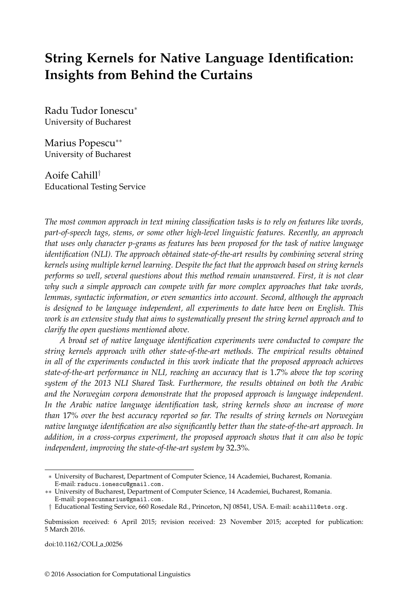# **String Kernels for Native Language Identification: Insights from Behind the Curtains**

Radu Tudor Ionescu<sup>∗</sup> University of Bucharest

Marius Popescu∗∗ University of Bucharest

Aoife Cahill† Educational Testing Service

*The most common approach in text mining classification tasks is to rely on features like words, part-of-speech tags, stems, or some other high-level linguistic features. Recently, an approach that uses only character p-grams as features has been proposed for the task of native language identification (NLI). The approach obtained state-of-the-art results by combining several string kernels using multiple kernel learning. Despite the fact that the approach based on string kernels performs so well, several questions about this method remain unanswered. First, it is not clear why such a simple approach can compete with far more complex approaches that take words, lemmas, syntactic information, or even semantics into account. Second, although the approach is designed to be language independent, all experiments to date have been on English. This work is an extensive study that aims to systematically present the string kernel approach and to clarify the open questions mentioned above.*

*A broad set of native language identification experiments were conducted to compare the string kernels approach with other state-of-the-art methods. The empirical results obtained in all of the experiments conducted in this work indicate that the proposed approach achieves state-of-the-art performance in NLI, reaching an accuracy that is* 1.7% *above the top scoring system of the 2013 NLI Shared Task. Furthermore, the results obtained on both the Arabic and the Norwegian corpora demonstrate that the proposed approach is language independent. In the Arabic native language identification task, string kernels show an increase of more than* 17% *over the best accuracy reported so far. The results of string kernels on Norwegian native language identification are also significantly better than the state-of-the-art approach. In addition, in a cross-corpus experiment, the proposed approach shows that it can also be topic independent, improving the state-of-the-art system by* 32.3%*.*

doi:10.1162/COLI a 00256

<sup>∗</sup> University of Bucharest, Department of Computer Science, 14 Academiei, Bucharest, Romania. E-mail: raducu.ionescu@gmail.com.

<sup>∗∗</sup> University of Bucharest, Department of Computer Science, 14 Academiei, Bucharest, Romania. E-mail: popescunmarius@gmail.com.

<sup>†</sup> Educational Testing Service, 660 Rosedale Rd., Princeton, NJ 08541, USA. E-mail: acahill@ets.org.

Submission received: 6 April 2015; revision received: 23 November 2015; accepted for publication: 5 March 2016.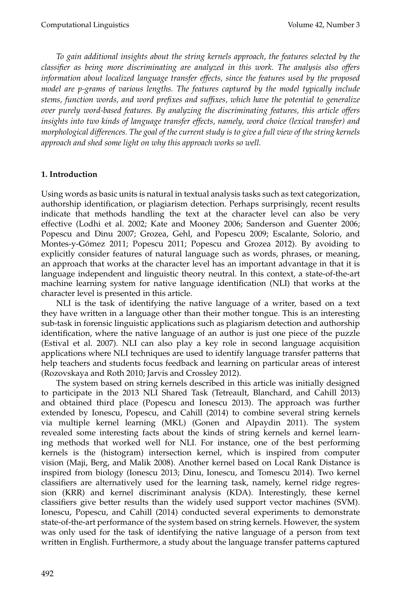*To gain additional insights about the string kernels approach, the features selected by the classifier as being more discriminating are analyzed in this work. The analysis also offers information about localized language transfer effects, since the features used by the proposed model are p-grams of various lengths. The features captured by the model typically include stems, function words, and word prefixes and suffixes, which have the potential to generalize over purely word-based features. By analyzing the discriminating features, this article offers insights into two kinds of language transfer effects, namely, word choice (lexical transfer) and morphological differences. The goal of the current study is to give a full view of the string kernels approach and shed some light on why this approach works so well.*

# **1. Introduction**

Using words as basic units is natural in textual analysis tasks such as text categorization, authorship identification, or plagiarism detection. Perhaps surprisingly, recent results indicate that methods handling the text at the character level can also be very effective (Lodhi et al. 2002; Kate and Mooney 2006; Sanderson and Guenter 2006; Popescu and Dinu 2007; Grozea, Gehl, and Popescu 2009; Escalante, Solorio, and Montes-y-Gómez 2011; Popescu 2011; Popescu and Grozea 2012). By avoiding to explicitly consider features of natural language such as words, phrases, or meaning, an approach that works at the character level has an important advantage in that it is language independent and linguistic theory neutral. In this context, a state-of-the-art machine learning system for native language identification (NLI) that works at the character level is presented in this article.

NLI is the task of identifying the native language of a writer, based on a text they have written in a language other than their mother tongue. This is an interesting sub-task in forensic linguistic applications such as plagiarism detection and authorship identification, where the native language of an author is just one piece of the puzzle (Estival et al. 2007). NLI can also play a key role in second language acquisition applications where NLI techniques are used to identify language transfer patterns that help teachers and students focus feedback and learning on particular areas of interest (Rozovskaya and Roth 2010; Jarvis and Crossley 2012).

The system based on string kernels described in this article was initially designed to participate in the 2013 NLI Shared Task (Tetreault, Blanchard, and Cahill 2013) and obtained third place (Popescu and Ionescu 2013). The approach was further extended by Ionescu, Popescu, and Cahill (2014) to combine several string kernels via multiple kernel learning (MKL) (Gonen and Alpaydin 2011). The system revealed some interesting facts about the kinds of string kernels and kernel learning methods that worked well for NLI. For instance, one of the best performing kernels is the (histogram) intersection kernel, which is inspired from computer vision (Maji, Berg, and Malik 2008). Another kernel based on Local Rank Distance is inspired from biology (Ionescu 2013; Dinu, Ionescu, and Tomescu 2014). Two kernel classifiers are alternatively used for the learning task, namely, kernel ridge regression (KRR) and kernel discriminant analysis (KDA). Interestingly, these kernel classifiers give better results than the widely used support vector machines (SVM). Ionescu, Popescu, and Cahill (2014) conducted several experiments to demonstrate state-of-the-art performance of the system based on string kernels. However, the system was only used for the task of identifying the native language of a person from text written in English. Furthermore, a study about the language transfer patterns captured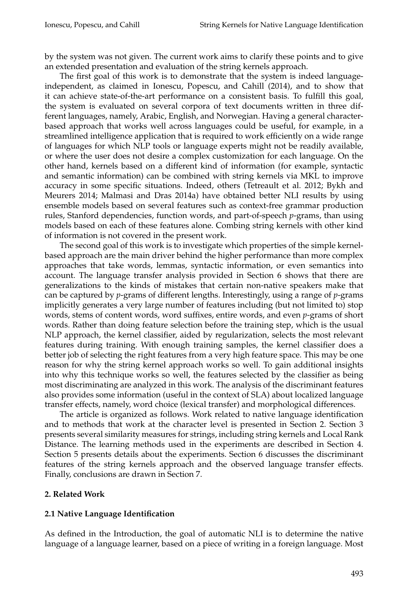by the system was not given. The current work aims to clarify these points and to give an extended presentation and evaluation of the string kernels approach.

The first goal of this work is to demonstrate that the system is indeed languageindependent, as claimed in Ionescu, Popescu, and Cahill (2014), and to show that it can achieve state-of-the-art performance on a consistent basis. To fulfill this goal, the system is evaluated on several corpora of text documents written in three different languages, namely, Arabic, English, and Norwegian. Having a general characterbased approach that works well across languages could be useful, for example, in a streamlined intelligence application that is required to work efficiently on a wide range of languages for which NLP tools or language experts might not be readily available, or where the user does not desire a complex customization for each language. On the other hand, kernels based on a different kind of information (for example, syntactic and semantic information) can be combined with string kernels via MKL to improve accuracy in some specific situations. Indeed, others (Tetreault et al. 2012; Bykh and Meurers 2014; Malmasi and Dras 2014a) have obtained better NLI results by using ensemble models based on several features such as context-free grammar production rules, Stanford dependencies, function words, and part-of-speech *p*-grams, than using models based on each of these features alone. Combing string kernels with other kind of information is not covered in the present work.

The second goal of this work is to investigate which properties of the simple kernelbased approach are the main driver behind the higher performance than more complex approaches that take words, lemmas, syntactic information, or even semantics into account. The language transfer analysis provided in Section 6 shows that there are generalizations to the kinds of mistakes that certain non-native speakers make that can be captured by *p*-grams of different lengths. Interestingly, using a range of *p*-grams implicitly generates a very large number of features including (but not limited to) stop words, stems of content words, word suffixes, entire words, and even *p*-grams of short words. Rather than doing feature selection before the training step, which is the usual NLP approach, the kernel classifier, aided by regularization, selects the most relevant features during training. With enough training samples, the kernel classifier does a better job of selecting the right features from a very high feature space. This may be one reason for why the string kernel approach works so well. To gain additional insights into why this technique works so well, the features selected by the classifier as being most discriminating are analyzed in this work. The analysis of the discriminant features also provides some information (useful in the context of SLA) about localized language transfer effects, namely, word choice (lexical transfer) and morphological differences.

The article is organized as follows. Work related to native language identification and to methods that work at the character level is presented in Section 2. Section 3 presents several similarity measures for strings, including string kernels and Local Rank Distance. The learning methods used in the experiments are described in Section 4. Section 5 presents details about the experiments. Section 6 discusses the discriminant features of the string kernels approach and the observed language transfer effects. Finally, conclusions are drawn in Section 7.

## **2. Related Work**

## **2.1 Native Language Identification**

As defined in the Introduction, the goal of automatic NLI is to determine the native language of a language learner, based on a piece of writing in a foreign language. Most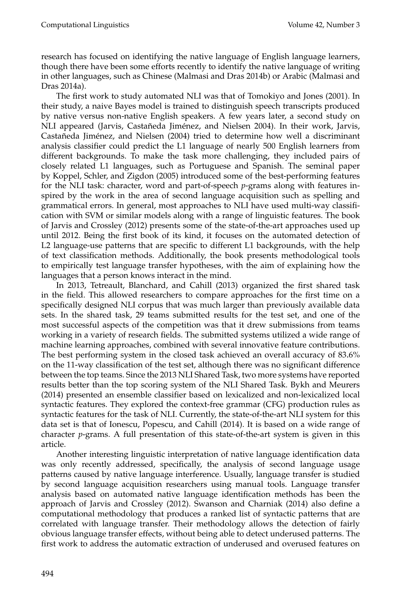research has focused on identifying the native language of English language learners, though there have been some efforts recently to identify the native language of writing in other languages, such as Chinese (Malmasi and Dras 2014b) or Arabic (Malmasi and Dras 2014a).

The first work to study automated NLI was that of Tomokiyo and Jones (2001). In their study, a naive Bayes model is trained to distinguish speech transcripts produced by native versus non-native English speakers. A few years later, a second study on NLI appeared (Jarvis, Castañeda Jiménez, and Nielsen 2004). In their work, Jarvis, Castañeda Jiménez, and Nielsen (2004) tried to determine how well a discriminant analysis classifier could predict the L1 language of nearly 500 English learners from different backgrounds. To make the task more challenging, they included pairs of closely related L1 languages, such as Portuguese and Spanish. The seminal paper by Koppel, Schler, and Zigdon (2005) introduced some of the best-performing features for the NLI task: character, word and part-of-speech *p*-grams along with features inspired by the work in the area of second language acquisition such as spelling and grammatical errors. In general, most approaches to NLI have used multi-way classification with SVM or similar models along with a range of linguistic features. The book of Jarvis and Crossley (2012) presents some of the state-of-the-art approaches used up until 2012. Being the first book of its kind, it focuses on the automated detection of L2 language-use patterns that are specific to different L1 backgrounds, with the help of text classification methods. Additionally, the book presents methodological tools to empirically test language transfer hypotheses, with the aim of explaining how the languages that a person knows interact in the mind.

In 2013, Tetreault, Blanchard, and Cahill (2013) organized the first shared task in the field. This allowed researchers to compare approaches for the first time on a specifically designed NLI corpus that was much larger than previously available data sets. In the shared task, 29 teams submitted results for the test set, and one of the most successful aspects of the competition was that it drew submissions from teams working in a variety of research fields. The submitted systems utilized a wide range of machine learning approaches, combined with several innovative feature contributions. The best performing system in the closed task achieved an overall accuracy of 83.6% on the 11-way classification of the test set, although there was no significant difference between the top teams. Since the 2013 NLI Shared Task, two more systems have reported results better than the top scoring system of the NLI Shared Task. Bykh and Meurers (2014) presented an ensemble classifier based on lexicalized and non-lexicalized local syntactic features. They explored the context-free grammar (CFG) production rules as syntactic features for the task of NLI. Currently, the state-of-the-art NLI system for this data set is that of Ionescu, Popescu, and Cahill (2014). It is based on a wide range of character *p*-grams. A full presentation of this state-of-the-art system is given in this article.

Another interesting linguistic interpretation of native language identification data was only recently addressed, specifically, the analysis of second language usage patterns caused by native language interference. Usually, language transfer is studied by second language acquisition researchers using manual tools. Language transfer analysis based on automated native language identification methods has been the approach of Jarvis and Crossley (2012). Swanson and Charniak (2014) also define a computational methodology that produces a ranked list of syntactic patterns that are correlated with language transfer. Their methodology allows the detection of fairly obvious language transfer effects, without being able to detect underused patterns. The first work to address the automatic extraction of underused and overused features on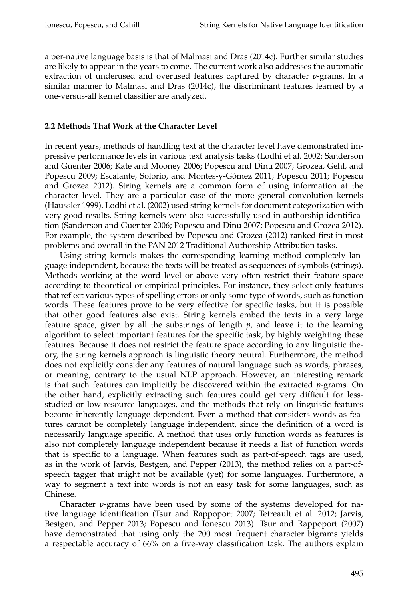a per-native language basis is that of Malmasi and Dras (2014c). Further similar studies are likely to appear in the years to come. The current work also addresses the automatic extraction of underused and overused features captured by character *p*-grams. In a similar manner to Malmasi and Dras (2014c), the discriminant features learned by a one-versus-all kernel classifier are analyzed.

#### **2.2 Methods That Work at the Character Level**

In recent years, methods of handling text at the character level have demonstrated impressive performance levels in various text analysis tasks (Lodhi et al. 2002; Sanderson and Guenter 2006; Kate and Mooney 2006; Popescu and Dinu 2007; Grozea, Gehl, and Popescu 2009; Escalante, Solorio, and Montes-y-Gomez 2011; Popescu 2011; Popescu ´ and Grozea 2012). String kernels are a common form of using information at the character level. They are a particular case of the more general convolution kernels (Haussler 1999). Lodhi et al. (2002) used string kernels for document categorization with very good results. String kernels were also successfully used in authorship identification (Sanderson and Guenter 2006; Popescu and Dinu 2007; Popescu and Grozea 2012). For example, the system described by Popescu and Grozea (2012) ranked first in most problems and overall in the PAN 2012 Traditional Authorship Attribution tasks.

Using string kernels makes the corresponding learning method completely language independent, because the texts will be treated as sequences of symbols (strings). Methods working at the word level or above very often restrict their feature space according to theoretical or empirical principles. For instance, they select only features that reflect various types of spelling errors or only some type of words, such as function words. These features prove to be very effective for specific tasks, but it is possible that other good features also exist. String kernels embed the texts in a very large feature space, given by all the substrings of length *p*, and leave it to the learning algorithm to select important features for the specific task, by highly weighting these features. Because it does not restrict the feature space according to any linguistic theory, the string kernels approach is linguistic theory neutral. Furthermore, the method does not explicitly consider any features of natural language such as words, phrases, or meaning, contrary to the usual NLP approach. However, an interesting remark is that such features can implicitly be discovered within the extracted  $p$ -grams. On the other hand, explicitly extracting such features could get very difficult for lessstudied or low-resource languages, and the methods that rely on linguistic features become inherently language dependent. Even a method that considers words as features cannot be completely language independent, since the definition of a word is necessarily language specific. A method that uses only function words as features is also not completely language independent because it needs a list of function words that is specific to a language. When features such as part-of-speech tags are used, as in the work of Jarvis, Bestgen, and Pepper (2013), the method relies on a part-ofspeech tagger that might not be available (yet) for some languages. Furthermore, a way to segment a text into words is not an easy task for some languages, such as Chinese.

Character *p*-grams have been used by some of the systems developed for native language identification (Tsur and Rappoport 2007; Tetreault et al. 2012; Jarvis, Bestgen, and Pepper 2013; Popescu and Ionescu 2013). Tsur and Rappoport (2007) have demonstrated that using only the 200 most frequent character bigrams yields a respectable accuracy of 66% on a five-way classification task. The authors explain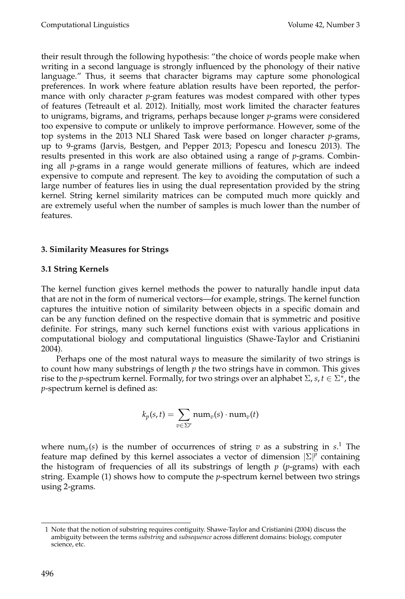their result through the following hypothesis: "the choice of words people make when writing in a second language is strongly influenced by the phonology of their native language." Thus, it seems that character bigrams may capture some phonological preferences. In work where feature ablation results have been reported, the performance with only character *p*-gram features was modest compared with other types of features (Tetreault et al. 2012). Initially, most work limited the character features to unigrams, bigrams, and trigrams, perhaps because longer *p*-grams were considered too expensive to compute or unlikely to improve performance. However, some of the top systems in the 2013 NLI Shared Task were based on longer character *p*-grams, up to 9-grams (Jarvis, Bestgen, and Pepper 2013; Popescu and Ionescu 2013). The results presented in this work are also obtained using a range of *p*-grams. Combining all *p*-grams in a range would generate millions of features, which are indeed expensive to compute and represent. The key to avoiding the computation of such a large number of features lies in using the dual representation provided by the string kernel. String kernel similarity matrices can be computed much more quickly and are extremely useful when the number of samples is much lower than the number of features.

# **3. Similarity Measures for Strings**

# **3.1 String Kernels**

The kernel function gives kernel methods the power to naturally handle input data that are not in the form of numerical vectors—for example, strings. The kernel function captures the intuitive notion of similarity between objects in a specific domain and can be any function defined on the respective domain that is symmetric and positive definite. For strings, many such kernel functions exist with various applications in computational biology and computational linguistics (Shawe-Taylor and Cristianini 2004).

Perhaps one of the most natural ways to measure the similarity of two strings is to count how many substrings of length *p* the two strings have in common. This gives rise to the *p*-spectrum kernel. Formally, for two strings over an alphabet  $\Sigma$ ,  $s, t \in \Sigma^*$ , the *p*-spectrum kernel is defined as:

$$
k_p(s,t) = \sum_{v \in \Sigma^p} \text{num}_v(s) \cdot \text{num}_v(t)
$$

where  $\text{num}_v(s)$  is the number of occurrences of string  $v$  as a substring in  $s$ .<sup>1</sup> The feature map defined by this kernel associates a vector of dimension  $|\Sigma|^p$  containing the histogram of frequencies of all its substrings of length *p* (*p*-grams) with each string. Example (1) shows how to compute the *p*-spectrum kernel between two strings using 2-grams.

<sup>1</sup> Note that the notion of substring requires contiguity. Shawe-Taylor and Cristianini (2004) discuss the ambiguity between the terms *substring* and *subsequence* across different domains: biology, computer science, etc.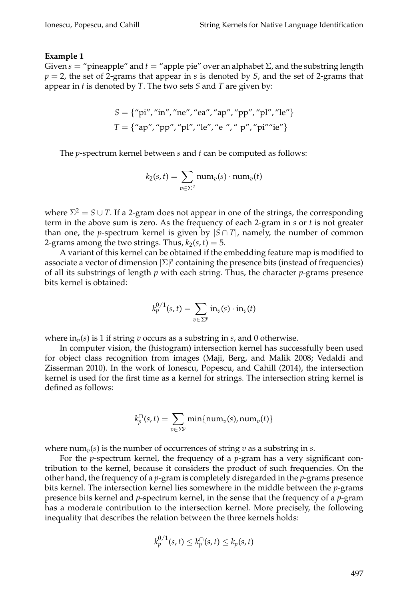#### **Example 1**

Given  $s =$  "pineapple" and  $t =$  "apple pie" over an alphabet  $\Sigma$ , and the substring length *p* = 2, the set of 2-grams that appear in *s* is denoted by *S*, and the set of 2-grams that appear in *t* is denoted by *T*. The two sets *S* and *T* are given by:

$$
S = \{ "pi", "in", "ne", "ea", "ap", "pp", "pl", "le" \}
$$

$$
T = \{ "ap", "pp", "pl", "le", "e", "-p", "pi" "ie" \}
$$

The *p*-spectrum kernel between *s* and *t* can be computed as follows:

$$
k_2(s,t) = \sum_{v \in \Sigma^2} \operatorname{num}_v(s) \cdot \operatorname{num}_v(t)
$$

where  $\Sigma^2 = S \cup T$ . If a 2-gram does not appear in one of the strings, the corresponding term in the above sum is zero. As the frequency of each 2-gram in *s* or *t* is not greater than one, the *p*-spectrum kernel is given by  $|S \cap T|$ , namely, the number of common 2-grams among the two strings. Thus,  $k_2(s,t) = 5$ .

A variant of this kernel can be obtained if the embedding feature map is modified to associate a vector of dimension  $|\Sigma|^p$  containing the presence bits (instead of frequencies) of all its substrings of length *p* with each string. Thus, the character *p*-grams presence bits kernel is obtained:

$$
k_p^{0/1}(s,t)=\sum_{v\in\Sigma^p}\text{in}_v(s)\cdot\text{in}_v(t)
$$

where in*<sup>v</sup>* (*s*) is 1 if string *v* occurs as a substring in *s*, and 0 otherwise.

In computer vision, the (histogram) intersection kernel has successfully been used for object class recognition from images (Maji, Berg, and Malik 2008; Vedaldi and Zisserman 2010). In the work of Ionescu, Popescu, and Cahill (2014), the intersection kernel is used for the first time as a kernel for strings. The intersection string kernel is defined as follows:

$$
k_p^{\cap}(s,t) = \sum_{v \in \Sigma^p} \min\{\mathop{\mathrm{num}}\nolimits_v(s), \mathop{\mathrm{num}}\nolimits_v(t)\}
$$

where  $\mathsf{num}_v(s)$  is the number of occurrences of string  $v$  as a substring in  $s.$ 

0/1

For the *p*-spectrum kernel, the frequency of a *p*-gram has a very significant contribution to the kernel, because it considers the product of such frequencies. On the other hand, the frequency of a *p*-gram is completely disregarded in the *p*-grams presence bits kernel. The intersection kernel lies somewhere in the middle between the *p*-grams presence bits kernel and *p*-spectrum kernel, in the sense that the frequency of a *p*-gram has a moderate contribution to the intersection kernel. More precisely, the following inequality that describes the relation between the three kernels holds:

$$
k_p^{0/1}(s,t) \leq k_p^{\cap}(s,t) \leq k_p(s,t)
$$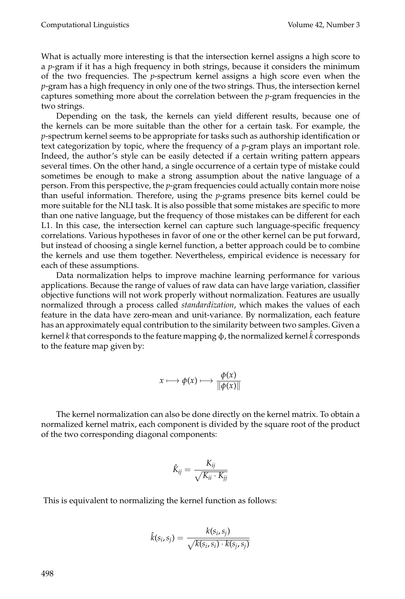What is actually more interesting is that the intersection kernel assigns a high score to a *p*-gram if it has a high frequency in both strings, because it considers the minimum of the two frequencies. The *p*-spectrum kernel assigns a high score even when the *p*-gram has a high frequency in only one of the two strings. Thus, the intersection kernel captures something more about the correlation between the *p*-gram frequencies in the two strings.

Depending on the task, the kernels can yield different results, because one of the kernels can be more suitable than the other for a certain task. For example, the *p*-spectrum kernel seems to be appropriate for tasks such as authorship identification or text categorization by topic, where the frequency of a *p*-gram plays an important role. Indeed, the author's style can be easily detected if a certain writing pattern appears several times. On the other hand, a single occurrence of a certain type of mistake could sometimes be enough to make a strong assumption about the native language of a person. From this perspective, the *p*-gram frequencies could actually contain more noise than useful information. Therefore, using the *p*-grams presence bits kernel could be more suitable for the NLI task. It is also possible that some mistakes are specific to more than one native language, but the frequency of those mistakes can be different for each L1. In this case, the intersection kernel can capture such language-specific frequency correlations. Various hypotheses in favor of one or the other kernel can be put forward, but instead of choosing a single kernel function, a better approach could be to combine the kernels and use them together. Nevertheless, empirical evidence is necessary for each of these assumptions.

Data normalization helps to improve machine learning performance for various applications. Because the range of values of raw data can have large variation, classifier objective functions will not work properly without normalization. Features are usually normalized through a process called *standardization*, which makes the values of each feature in the data have zero-mean and unit-variance. By normalization, each feature has an approximately equal contribution to the similarity between two samples. Given a kernel *k* that corresponds to the feature mapping  $\phi$ , the normalized kernel  $\hat{k}$  corresponds to the feature map given by:

$$
x \longmapsto \phi(x) \longmapsto \frac{\phi(x)}{\|\phi(x)\|}
$$

The kernel normalization can also be done directly on the kernel matrix. To obtain a normalized kernel matrix, each component is divided by the square root of the product of the two corresponding diagonal components:

$$
\hat{K}_{ij} = \frac{K_{ij}}{\sqrt{K_{ii} \cdot K_{jj}}}
$$

This is equivalent to normalizing the kernel function as follows:

$$
\hat{k}(s_i, s_j) = \frac{k(s_i, s_j)}{\sqrt{k(s_i, s_i) \cdot k(s_j, s_j)}}
$$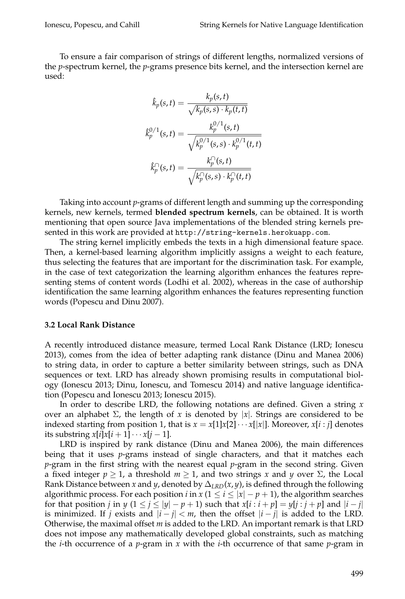To ensure a fair comparison of strings of different lengths, normalized versions of the *p*-spectrum kernel, the *p*-grams presence bits kernel, and the intersection kernel are used:

$$
\hat{k}_p(s,t) = \frac{k_p(s,t)}{\sqrt{k_p(s,s) \cdot k_p(t,t)}}
$$
\n
$$
\hat{k}_p^{0/1}(s,t) = \frac{k_p^{0/1}(s,t)}{\sqrt{k_p^{0/1}(s,s) \cdot k_p^{0/1}(t,t)}}
$$
\n
$$
\hat{k}_p^{\cap}(s,t) = \frac{k_p^{\cap}(s,t)}{\sqrt{k_p^{\cap}(s,s) \cdot k_p^{\cap}(t,t)}}
$$

Taking into account *p*-grams of different length and summing up the corresponding kernels, new kernels, termed **blended spectrum kernels**, can be obtained. It is worth mentioning that open source Java implementations of the blended string kernels presented in this work are provided at http://string-kernels.herokuapp.com.

The string kernel implicitly embeds the texts in a high dimensional feature space. Then, a kernel-based learning algorithm implicitly assigns a weight to each feature, thus selecting the features that are important for the discrimination task. For example, in the case of text categorization the learning algorithm enhances the features representing stems of content words (Lodhi et al. 2002), whereas in the case of authorship identification the same learning algorithm enhances the features representing function words (Popescu and Dinu 2007).

#### **3.2 Local Rank Distance**

A recently introduced distance measure, termed Local Rank Distance (LRD; Ionescu 2013), comes from the idea of better adapting rank distance (Dinu and Manea 2006) to string data, in order to capture a better similarity between strings, such as DNA sequences or text. LRD has already shown promising results in computational biology (Ionescu 2013; Dinu, Ionescu, and Tomescu 2014) and native language identification (Popescu and Ionescu 2013; Ionescu 2015).

In order to describe LRD, the following notations are defined. Given a string *x* over an alphabet Σ, the length of x is denoted by  $|x|$ . Strings are considered to be indexed starting from position 1, that is  $x = x[1]x[2] \cdots x[|x|]$ . Moreover,  $x[i:j]$  denotes its substring  $x[i]x[i+1]\cdots x[j-1]$ .

LRD is inspired by rank distance (Dinu and Manea 2006), the main differences being that it uses *p*-grams instead of single characters, and that it matches each *p*-gram in the first string with the nearest equal *p*-gram in the second string. Given a fixed integer  $p \ge 1$ , a threshold  $m \ge 1$ , and two strings x and y over  $\Sigma$ , the Local Rank Distance between *x* and *y*, denoted by  $\Delta_{LRD}(x, y)$ , is defined through the following algorithmic process. For each position *i* in  $x$  ( $1 \le i \le |x| - p + 1$ ), the algorithm searches for that position *j* in *y* ( $1 \le j \le |y| - p + 1$ ) such that  $x[i : i + p] = y[i : j + p]$  and  $|i - j|$ is minimized. If *j* exists and  $|i - j| < m$ , then the offset  $|i - j|$  is added to the LRD. Otherwise, the maximal offset *m* is added to the LRD. An important remark is that LRD does not impose any mathematically developed global constraints, such as matching the *i*-th occurrence of a *p*-gram in *x* with the *i*-th occurrence of that same *p*-gram in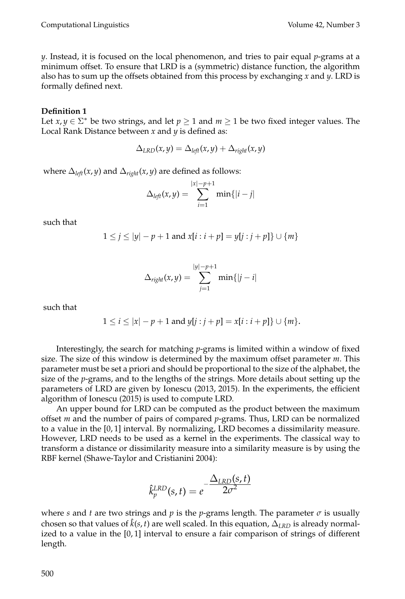*y*. Instead, it is focused on the local phenomenon, and tries to pair equal *p*-grams at a minimum offset. To ensure that LRD is a (symmetric) distance function, the algorithm also has to sum up the offsets obtained from this process by exchanging *x* and *y*. LRD is formally defined next.

## **Definition 1**

Let  $x, y \in \Sigma^*$  be two strings, and let  $p \ge 1$  and  $m \ge 1$  be two fixed integer values. The Local Rank Distance between *x* and *y* is defined as:

$$
\Delta_{LRD}(x,y) = \Delta_{left}(x,y) + \Delta_{right}(x,y)
$$

where  $\Delta_{left}(x, y)$  and  $\Delta_{right}(x, y)$  are defined as follows:

$$
\Delta_{\text{left}}(x,y) = \sum_{i=1}^{|x|-p+1} \min\{|i-j|
$$

such that

$$
1 \le j \le |y| - p + 1
$$
 and  $x[i : i + p] = y[j : j + p]$   $\cup \{m\}$ 

$$
\Delta_{right}(x,y)=\sum_{j=1}^{|y|-p+1}\min\{|j-i|
$$

such that

$$
1 \le i \le |x| - p + 1
$$
 and  $y[j : j + p] = x[i : i + p]$   $\cup \{m\}$ .

Interestingly, the search for matching *p*-grams is limited within a window of fixed size. The size of this window is determined by the maximum offset parameter *m*. This parameter must be set a priori and should be proportional to the size of the alphabet, the size of the *p*-grams, and to the lengths of the strings. More details about setting up the parameters of LRD are given by Ionescu (2013, 2015). In the experiments, the efficient algorithm of Ionescu (2015) is used to compute LRD.

An upper bound for LRD can be computed as the product between the maximum offset *m* and the number of pairs of compared *p*-grams. Thus, LRD can be normalized to a value in the [0, 1] interval. By normalizing, LRD becomes a dissimilarity measure. However, LRD needs to be used as a kernel in the experiments. The classical way to transform a distance or dissimilarity measure into a similarity measure is by using the RBF kernel (Shawe-Taylor and Cristianini 2004):

$$
\hat{k}_p^{LRD}(s,t) = e^{-\frac{\Delta_{LRD}(s,t)}{2\sigma^2}}
$$

where *s* and *t* are two strings and *p* is the *p*-grams length. The parameter  $\sigma$  is usually chosen so that values of  $\hat{k}(s, t)$  are well scaled. In this equation,  $\Delta_{LRD}$  is already normalized to a value in the  $[0, 1]$  interval to ensure a fair comparison of strings of different length.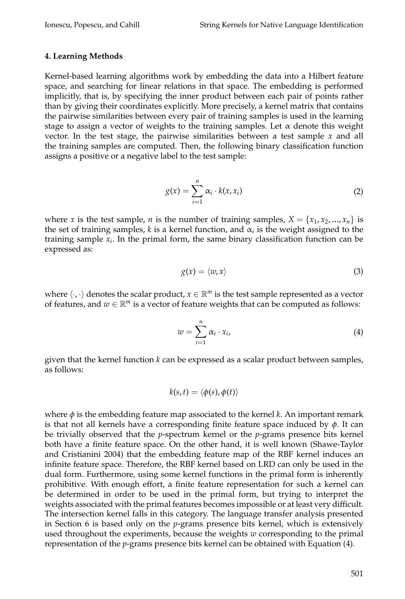#### **4. Learning Methods**

Kernel-based learning algorithms work by embedding the data into a Hilbert feature space, and searching for linear relations in that space. The embedding is performed implicitly, that is, by specifying the inner product between each pair of points rather than by giving their coordinates explicitly. More precisely, a kernel matrix that contains the pairwise similarities between every pair of training samples is used in the learning stage to assign a vector of weights to the training samples. Let  $\alpha$  denote this weight vector. In the test stage, the pairwise similarities between a test sample *x* and all the training samples are computed. Then, the following binary classification function assigns a positive or a negative label to the test sample:

$$
g(x) = \sum_{i=1}^{n} \alpha_i \cdot k(x, x_i)
$$
 (2)

where *x* is the test sample, *n* is the number of training samples,  $X = \{x_1, x_2, ..., x_n\}$  is the set of training samples,  $k$  is a kernel function, and  $\alpha_i$  is the weight assigned to the training sample *x<sup>i</sup>* . In the primal form, the same binary classification function can be expressed as:

$$
g(x) = \langle w, x \rangle \tag{3}
$$

where  $\langle \cdot, \cdot \rangle$  denotes the scalar product,  $x \in \mathbb{R}^m$  is the test sample represented as a vector of features, and  $w \in \mathbb{R}^m$  is a vector of feature weights that can be computed as follows:

$$
w = \sum_{i=1}^{n} \alpha_i \cdot x_i, \tag{4}
$$

given that the kernel function *k* can be expressed as a scalar product between samples, as follows:

$$
k(s,t) = \langle \phi(s), \phi(t) \rangle
$$

where *φ* is the embedding feature map associated to the kernel *k*. An important remark is that not all kernels have a corresponding finite feature space induced by *φ*. It can be trivially observed that the *p*-spectrum kernel or the *p*-grams presence bits kernel both have a finite feature space. On the other hand, it is well known (Shawe-Taylor and Cristianini 2004) that the embedding feature map of the RBF kernel induces an infinite feature space. Therefore, the RBF kernel based on LRD can only be used in the dual form. Furthermore, using some kernel functions in the primal form is inherently prohibitive. With enough effort, a finite feature representation for such a kernel can be determined in order to be used in the primal form, but trying to interpret the weights associated with the primal features becomes impossible or at least very difficult. The intersection kernel falls in this category. The language transfer analysis presented in Section 6 is based only on the *p*-grams presence bits kernel, which is extensively used throughout the experiments, because the weights *w* corresponding to the primal representation of the *p*-grams presence bits kernel can be obtained with Equation (4).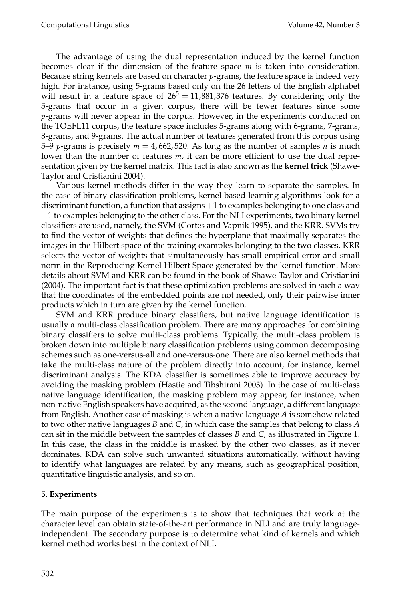The advantage of using the dual representation induced by the kernel function becomes clear if the dimension of the feature space *m* is taken into consideration. Because string kernels are based on character *p*-grams, the feature space is indeed very high. For instance, using 5-grams based only on the 26 letters of the English alphabet will result in a feature space of  $26^5 = 11,881,376$  features. By considering only the 5-grams that occur in a given corpus, there will be fewer features since some *p*-grams will never appear in the corpus. However, in the experiments conducted on the TOEFL11 corpus, the feature space includes 5-grams along with 6-grams, 7-grams, 8-grams, and 9-grams. The actual number of features generated from this corpus using 5–9 *p*-grams is precisely  $m = 4,662,520$ . As long as the number of samples *n* is much lower than the number of features *m*, it can be more efficient to use the dual representation given by the kernel matrix. This fact is also known as the **kernel trick** (Shawe-Taylor and Cristianini 2004).

Various kernel methods differ in the way they learn to separate the samples. In the case of binary classification problems, kernel-based learning algorithms look for a discriminant function, a function that assigns  $+1$  to examples belonging to one class and −1 to examples belonging to the other class. For the NLI experiments, two binary kernel classifiers are used, namely, the SVM (Cortes and Vapnik 1995), and the KRR. SVMs try to find the vector of weights that defines the hyperplane that maximally separates the images in the Hilbert space of the training examples belonging to the two classes. KRR selects the vector of weights that simultaneously has small empirical error and small norm in the Reproducing Kernel Hilbert Space generated by the kernel function. More details about SVM and KRR can be found in the book of Shawe-Taylor and Cristianini (2004). The important fact is that these optimization problems are solved in such a way that the coordinates of the embedded points are not needed, only their pairwise inner products which in turn are given by the kernel function.

SVM and KRR produce binary classifiers, but native language identification is usually a multi-class classification problem. There are many approaches for combining binary classifiers to solve multi-class problems. Typically, the multi-class problem is broken down into multiple binary classification problems using common decomposing schemes such as one-versus-all and one-versus-one. There are also kernel methods that take the multi-class nature of the problem directly into account, for instance, kernel discriminant analysis. The KDA classifier is sometimes able to improve accuracy by avoiding the masking problem (Hastie and Tibshirani 2003). In the case of multi-class native language identification, the masking problem may appear, for instance, when non-native English speakers have acquired, as the second language, a different language from English. Another case of masking is when a native language *A* is somehow related to two other native languages *B* and *C*, in which case the samples that belong to class *A* can sit in the middle between the samples of classes *B* and *C*, as illustrated in Figure 1. In this case, the class in the middle is masked by the other two classes, as it never dominates. KDA can solve such unwanted situations automatically, without having to identify what languages are related by any means, such as geographical position, quantitative linguistic analysis, and so on.

# **5. Experiments**

The main purpose of the experiments is to show that techniques that work at the character level can obtain state-of-the-art performance in NLI and are truly languageindependent. The secondary purpose is to determine what kind of kernels and which kernel method works best in the context of NLI.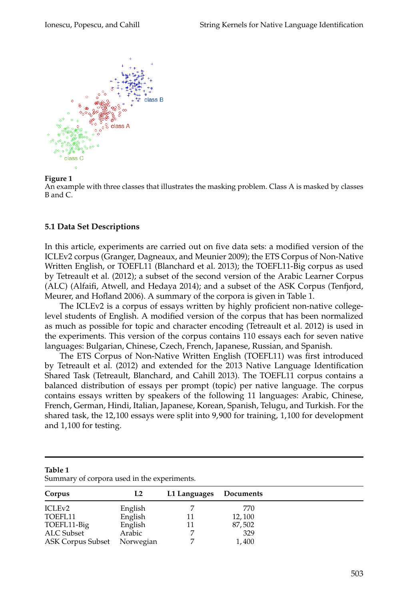

#### **Figure 1**

An example with three classes that illustrates the masking problem. Class A is masked by classes B and C.

# **5.1 Data Set Descriptions**

In this article, experiments are carried out on five data sets: a modified version of the ICLEv2 corpus (Granger, Dagneaux, and Meunier 2009); the ETS Corpus of Non-Native Written English, or TOEFL11 (Blanchard et al. 2013); the TOEFL11-Big corpus as used by Tetreault et al. (2012); a subset of the second version of the Arabic Learner Corpus (ALC) (Alfaifi, Atwell, and Hedaya 2014); and a subset of the ASK Corpus (Tenfjord, Meurer, and Hofland 2006). A summary of the corpora is given in Table 1.

The ICLEv2 is a corpus of essays written by highly proficient non-native collegelevel students of English. A modified version of the corpus that has been normalized as much as possible for topic and character encoding (Tetreault et al. 2012) is used in the experiments. This version of the corpus contains 110 essays each for seven native languages: Bulgarian, Chinese, Czech, French, Japanese, Russian, and Spanish.

The ETS Corpus of Non-Native Written English (TOEFL11) was first introduced by Tetreault et al. (2012) and extended for the 2013 Native Language Identification Shared Task (Tetreault, Blanchard, and Cahill 2013). The TOEFL11 corpus contains a balanced distribution of essays per prompt (topic) per native language. The corpus contains essays written by speakers of the following 11 languages: Arabic, Chinese, French, German, Hindi, Italian, Japanese, Korean, Spanish, Telugu, and Turkish. For the shared task, the 12,100 essays were split into 9,900 for training, 1,100 for development and 1,100 for testing.

| Table 1<br>Summary of corpora used in the experiments. |                |              |           |  |
|--------------------------------------------------------|----------------|--------------|-----------|--|
| Corpus                                                 | L <sub>2</sub> | L1 Languages | Documents |  |
| ICLE <sub>v2</sub>                                     | English        |              | 770       |  |
| TOEFL11                                                | English        | 11           | 12,100    |  |
| TOEFL11-Big                                            | English        | 11           | 87,502    |  |
| ALC Subset                                             | Arabic         |              | 329       |  |
| ASK Corpus Subset                                      | Norwegian      | ⇁            | 1,400     |  |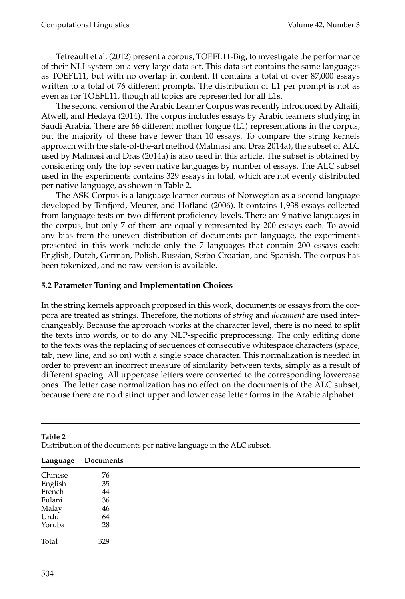Tetreault et al. (2012) present a corpus, TOEFL11-Big, to investigate the performance of their NLI system on a very large data set. This data set contains the same languages as TOEFL11, but with no overlap in content. It contains a total of over 87,000 essays written to a total of 76 different prompts. The distribution of L1 per prompt is not as even as for TOEFL11, though all topics are represented for all L1s.

The second version of the Arabic Learner Corpus was recently introduced by Alfaifi, Atwell, and Hedaya (2014). The corpus includes essays by Arabic learners studying in Saudi Arabia. There are 66 different mother tongue (L1) representations in the corpus, but the majority of these have fewer than 10 essays. To compare the string kernels approach with the state-of-the-art method (Malmasi and Dras 2014a), the subset of ALC used by Malmasi and Dras (2014a) is also used in this article. The subset is obtained by considering only the top seven native languages by number of essays. The ALC subset used in the experiments contains 329 essays in total, which are not evenly distributed per native language, as shown in Table 2.

The ASK Corpus is a language learner corpus of Norwegian as a second language developed by Tenfjord, Meurer, and Hofland (2006). It contains 1,938 essays collected from language tests on two different proficiency levels. There are 9 native languages in the corpus, but only 7 of them are equally represented by 200 essays each. To avoid any bias from the uneven distribution of documents per language, the experiments presented in this work include only the 7 languages that contain 200 essays each: English, Dutch, German, Polish, Russian, Serbo-Croatian, and Spanish. The corpus has been tokenized, and no raw version is available.

# **5.2 Parameter Tuning and Implementation Choices**

In the string kernels approach proposed in this work, documents or essays from the corpora are treated as strings. Therefore, the notions of *string* and *document* are used interchangeably. Because the approach works at the character level, there is no need to split the texts into words, or to do any NLP-specific preprocessing. The only editing done to the texts was the replacing of sequences of consecutive whitespace characters (space, tab, new line, and so on) with a single space character. This normalization is needed in order to prevent an incorrect measure of similarity between texts, simply as a result of different spacing. All uppercase letters were converted to the corresponding lowercase ones. The letter case normalization has no effect on the documents of the ALC subset, because there are no distinct upper and lower case letter forms in the Arabic alphabet.

|          | Distribution of the documents per native language in the ALC subset. |  |  |  |  |  |
|----------|----------------------------------------------------------------------|--|--|--|--|--|
| Language | Documents                                                            |  |  |  |  |  |
| Chinese  | 76                                                                   |  |  |  |  |  |
| English  | 35                                                                   |  |  |  |  |  |
| French   | 44                                                                   |  |  |  |  |  |
| Fulani   | 36                                                                   |  |  |  |  |  |
| Malay    | 46                                                                   |  |  |  |  |  |
| Urdu     | 64                                                                   |  |  |  |  |  |
| Yoruba   | 28                                                                   |  |  |  |  |  |
| Total    | 329                                                                  |  |  |  |  |  |

**Table 2**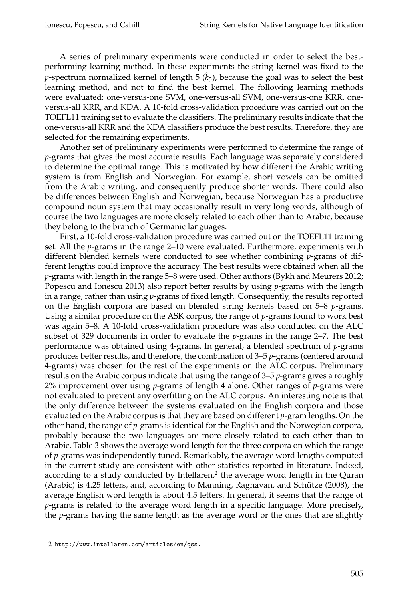A series of preliminary experiments were conducted in order to select the bestperforming learning method. In these experiments the string kernel was fixed to the  $p$ -spectrum normalized kernel of length 5 ( $\hat k_5$ ), because the goal was to select the best learning method, and not to find the best kernel. The following learning methods were evaluated: one-versus-one SVM, one-versus-all SVM, one-versus-one KRR, oneversus-all KRR, and KDA. A 10-fold cross-validation procedure was carried out on the TOEFL11 training set to evaluate the classifiers. The preliminary results indicate that the one-versus-all KRR and the KDA classifiers produce the best results. Therefore, they are selected for the remaining experiments.

Another set of preliminary experiments were performed to determine the range of *p*-grams that gives the most accurate results. Each language was separately considered to determine the optimal range. This is motivated by how different the Arabic writing system is from English and Norwegian. For example, short vowels can be omitted from the Arabic writing, and consequently produce shorter words. There could also be differences between English and Norwegian, because Norwegian has a productive compound noun system that may occasionally result in very long words, although of course the two languages are more closely related to each other than to Arabic, because they belong to the branch of Germanic languages.

First, a 10-fold cross-validation procedure was carried out on the TOEFL11 training set. All the *p*-grams in the range 2–10 were evaluated. Furthermore, experiments with different blended kernels were conducted to see whether combining *p*-grams of different lengths could improve the accuracy. The best results were obtained when all the *p*-grams with length in the range 5–8 were used. Other authors (Bykh and Meurers 2012; Popescu and Ionescu 2013) also report better results by using *p*-grams with the length in a range, rather than using *p*-grams of fixed length. Consequently, the results reported on the English corpora are based on blended string kernels based on 5–8 *p*-grams. Using a similar procedure on the ASK corpus, the range of *p*-grams found to work best was again 5–8. A 10-fold cross-validation procedure was also conducted on the ALC subset of 329 documents in order to evaluate the *p*-grams in the range 2–7. The best performance was obtained using 4-grams. In general, a blended spectrum of *p*-grams produces better results, and therefore, the combination of 3–5 *p*-grams (centered around 4-grams) was chosen for the rest of the experiments on the ALC corpus. Preliminary results on the Arabic corpus indicate that using the range of 3–5 *p*-grams gives a roughly 2% improvement over using *p*-grams of length 4 alone. Other ranges of *p*-grams were not evaluated to prevent any overfitting on the ALC corpus. An interesting note is that the only difference between the systems evaluated on the English corpora and those evaluated on the Arabic corpus is that they are based on different *p*-gram lengths. On the other hand, the range of *p*-grams is identical for the English and the Norwegian corpora, probably because the two languages are more closely related to each other than to Arabic. Table 3 shows the average word length for the three corpora on which the range of *p*-grams was independently tuned. Remarkably, the average word lengths computed in the current study are consistent with other statistics reported in literature. Indeed, according to a study conducted by Intellaren, $^2$  the average word length in the Quran (Arabic) is 4.25 letters, and, according to Manning, Raghavan, and Schütze (2008), the average English word length is about 4.5 letters. In general, it seems that the range of *p*-grams is related to the average word length in a specific language. More precisely, the *p*-grams having the same length as the average word or the ones that are slightly

<sup>2</sup> http://www.intellaren.com/articles/en/qss.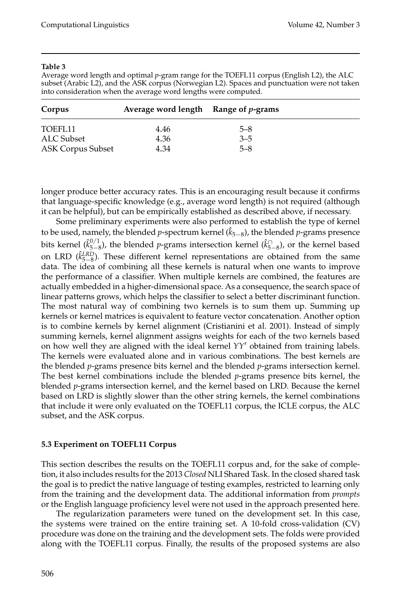#### **Table 3**

Average word length and optimal *p*-gram range for the TOEFL11 corpus (English L2), the ALC subset (Arabic L2), and the ASK corpus (Norwegian L2). Spaces and punctuation were not taken into consideration when the average word lengths were computed.

| Corpus                   | Average word length Range of $p$ -grams |         |  |
|--------------------------|-----------------------------------------|---------|--|
| TOEFL11                  | 4.46                                    | $5 - 8$ |  |
| ALC Subset               | 4.36                                    | $3 - 5$ |  |
| <b>ASK Corpus Subset</b> | 4.34                                    | $5 - 8$ |  |

longer produce better accuracy rates. This is an encouraging result because it confirms that language-specific knowledge (e.g., average word length) is not required (although it can be helpful), but can be empirically established as described above, if necessary.

Some preliminary experiments were also performed to establish the type of kernel to be used, namely, the blended *p-*spectrum kernel ( $\hat{k}_{5-8}$ ), the blended *p-*grams presence bits kernel ( $\hat k^{0/1}_{5-8}$ <sup>0/1</sup><sub>5−8</sub>), the blended *p*-grams intersection kernel ( $\hat{k}_{5-8}^{\cap}$ ), or the kernel based on LRD  $(\hat{k}_{5-8}^{LRD})$ . These different kernel representations are obtained from the same data. The idea of combining all these kernels is natural when one wants to improve the performance of a classifier. When multiple kernels are combined, the features are actually embedded in a higher-dimensional space. As a consequence, the search space of linear patterns grows, which helps the classifier to select a better discriminant function. The most natural way of combining two kernels is to sum them up. Summing up kernels or kernel matrices is equivalent to feature vector concatenation. Another option is to combine kernels by kernel alignment (Cristianini et al. 2001). Instead of simply summing kernels, kernel alignment assigns weights for each of the two kernels based on how well they are aligned with the ideal kernel *YY'* obtained from training labels. The kernels were evaluated alone and in various combinations. The best kernels are the blended *p*-grams presence bits kernel and the blended *p*-grams intersection kernel. The best kernel combinations include the blended *p*-grams presence bits kernel, the blended *p*-grams intersection kernel, and the kernel based on LRD. Because the kernel based on LRD is slightly slower than the other string kernels, the kernel combinations that include it were only evaluated on the TOEFL11 corpus, the ICLE corpus, the ALC subset, and the ASK corpus.

## **5.3 Experiment on TOEFL11 Corpus**

This section describes the results on the TOEFL11 corpus and, for the sake of completion, it also includes results for the 2013 *Closed* NLI Shared Task. In the closed shared task the goal is to predict the native language of testing examples, restricted to learning only from the training and the development data. The additional information from *prompts* or the English language proficiency level were not used in the approach presented here.

The regularization parameters were tuned on the development set. In this case, the systems were trained on the entire training set. A 10-fold cross-validation (CV) procedure was done on the training and the development sets. The folds were provided along with the TOEFL11 corpus. Finally, the results of the proposed systems are also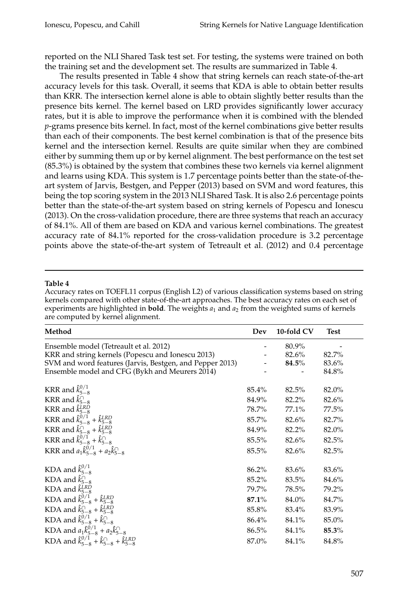reported on the NLI Shared Task test set. For testing, the systems were trained on both the training set and the development set. The results are summarized in Table 4.

The results presented in Table 4 show that string kernels can reach state-of-the-art accuracy levels for this task. Overall, it seems that KDA is able to obtain better results than KRR. The intersection kernel alone is able to obtain slightly better results than the presence bits kernel. The kernel based on LRD provides significantly lower accuracy rates, but it is able to improve the performance when it is combined with the blended *p*-grams presence bits kernel. In fact, most of the kernel combinations give better results than each of their components. The best kernel combination is that of the presence bits kernel and the intersection kernel. Results are quite similar when they are combined either by summing them up or by kernel alignment. The best performance on the test set (85.3%) is obtained by the system that combines these two kernels via kernel alignment and learns using KDA. This system is 1.7 percentage points better than the state-of-theart system of Jarvis, Bestgen, and Pepper (2013) based on SVM and word features, this being the top scoring system in the 2013 NLI Shared Task. It is also 2.6 percentage points better than the state-of-the-art system based on string kernels of Popescu and Ionescu (2013). On the cross-validation procedure, there are three systems that reach an accuracy of 84.1%. All of them are based on KDA and various kernel combinations. The greatest accuracy rate of 84.1% reported for the cross-validation procedure is 3.2 percentage points above the state-of-the-art system of Tetreault et al. (2012) and 0.4 percentage

#### **Table 4**

Accuracy rates on TOEFL11 corpus (English L2) of various classification systems based on string kernels compared with other state-of-the-art approaches. The best accuracy rates on each set of experiments are highlighted in **bold**. The weights  $a_1$  and  $a_2$  from the weighted sums of kernels are computed by kernel alignment.

| Method                                                                      | Dev   | 10-fold CV | <b>Test</b> |
|-----------------------------------------------------------------------------|-------|------------|-------------|
| Ensemble model (Tetreault et al. 2012)                                      |       | 80.9%      |             |
| KRR and string kernels (Popescu and Ionescu 2013)                           |       | 82.6%      | 82.7%       |
| SVM and word features (Jarvis, Bestgen, and Pepper 2013)                    |       | 84.5%      | 83.6%       |
| Ensemble model and CFG (Bykh and Meurers 2014)                              |       |            | 84.8%       |
| KRR and $\hat{k}_{5-8}^{0/1}$                                               | 85.4% | 82.5%      | 82.0%       |
| KRR and $\hat{k}_{5-8}^{\cap}$                                              | 84.9% | 82.2%      | 82.6%       |
| KRR and $\hat{k}_{5-8}^{LRD}$                                               | 78.7% | 77.1%      | 77.5%       |
| KRR and $\hat{k}_{5-8}^{0/1}$ + $\hat{k}_{5-8}^{LRD}$                       | 85.7% | 82.6%      | 82.7%       |
| KRR and $\hat{k}_{5-8}^{\cap}$ + $\hat{k}_{5-8}^{LRD}$                      | 84.9% | 82.2%      | 82.0%       |
| KRR and $\hat{k}_{5-8}^{0/1}$ + $\hat{k}_{5-8}^{0}$                         | 85.5% | 82.6%      | 82.5%       |
| KRR and $a_1 \hat{k}_{5-8}^{0/1} + a_2 \hat{k}_{5-8}^{0}$                   | 85.5% | 82.6%      | 82.5%       |
| KDA and $\hat{k}_{5-8}^{0/1}$                                               | 86.2% | 83.6%      | 83.6%       |
| KDA and $\hat{k}_{5-8}^{\cap}$                                              | 85.2% | 83.5%      | 84.6%       |
| KDA and $\hat{k}_{5-8}^{LRD}$                                               | 79.7% | 78.5%      | 79.2%       |
| KDA and $\hat{k}_{5-8}^{0/1}$ + $\hat{k}_{5-8}^{LRD}$                       | 87.1% | 84.0%      | 84.7%       |
| KDA and $\hat{k}_{5-8}$ + $\hat{k}_{5-8}^{LRD}$                             | 85.8% | 83.4%      | 83.9%       |
| KDA and $\hat{k}_{5-8}^{0/1}$ + $\hat{k}_{5-8}^{\cap}$                      | 86.4% | 84.1%      | 85.0%       |
| KDA and $a_1\hat{k}_{5-8}^{0/1} + a_2\hat{k}_{5-8}^{\cap}$                  | 86.5% | 84.1%      | 85.3%       |
| KDA and $\hat{k}_{5-8}^{0/1}$ + $\hat{k}_{5-8}^{0}$ + $\hat{k}_{5-8}^{LRD}$ | 87.0% | 84.1%      | 84.8%       |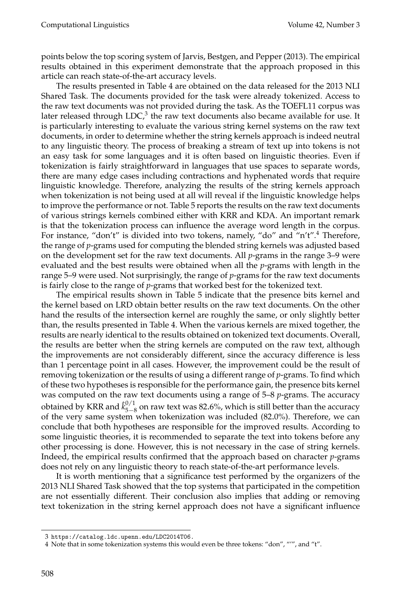points below the top scoring system of Jarvis, Bestgen, and Pepper (2013). The empirical results obtained in this experiment demonstrate that the approach proposed in this article can reach state-of-the-art accuracy levels.

The results presented in Table 4 are obtained on the data released for the 2013 NLI Shared Task. The documents provided for the task were already tokenized. Access to the raw text documents was not provided during the task. As the TOEFL11 corpus was later released through LDC, $3$  the raw text documents also became available for use. It is particularly interesting to evaluate the various string kernel systems on the raw text documents, in order to determine whether the string kernels approach is indeed neutral to any linguistic theory. The process of breaking a stream of text up into tokens is not an easy task for some languages and it is often based on linguistic theories. Even if tokenization is fairly straightforward in languages that use spaces to separate words, there are many edge cases including contractions and hyphenated words that require linguistic knowledge. Therefore, analyzing the results of the string kernels approach when tokenization is not being used at all will reveal if the linguistic knowledge helps to improve the performance or not. Table 5 reports the results on the raw text documents of various strings kernels combined either with KRR and KDA. An important remark is that the tokenization process can influence the average word length in the corpus. For instance, "don't" is divided into two tokens, namely, "do" and "n't".<sup>4</sup> Therefore, the range of *p*-grams used for computing the blended string kernels was adjusted based on the development set for the raw text documents. All *p*-grams in the range 3–9 were evaluated and the best results were obtained when all the *p*-grams with length in the range 5–9 were used. Not surprisingly, the range of *p*-grams for the raw text documents is fairly close to the range of *p*-grams that worked best for the tokenized text.

The empirical results shown in Table 5 indicate that the presence bits kernel and the kernel based on LRD obtain better results on the raw text documents. On the other hand the results of the intersection kernel are roughly the same, or only slightly better than, the results presented in Table 4. When the various kernels are mixed together, the results are nearly identical to the results obtained on tokenized text documents. Overall, the results are better when the string kernels are computed on the raw text, although the improvements are not considerably different, since the accuracy difference is less than 1 percentage point in all cases. However, the improvement could be the result of removing tokenization or the results of using a different range of *p*-grams. To find which of these two hypotheses is responsible for the performance gain, the presence bits kernel was computed on the raw text documents using a range of 5–8 *p*-grams. The accuracy obtained by KRR and  $\hat k_{5-8}^{0/1}$  $_{5-8}^{0/1}$  on raw text was 82.6%, which is still better than the accuracy of the very same system when tokenization was included (82.0%). Therefore, we can conclude that both hypotheses are responsible for the improved results. According to some linguistic theories, it is recommended to separate the text into tokens before any other processing is done. However, this is not necessary in the case of string kernels. Indeed, the empirical results confirmed that the approach based on character *p*-grams does not rely on any linguistic theory to reach state-of-the-art performance levels.

It is worth mentioning that a significance test performed by the organizers of the 2013 NLI Shared Task showed that the top systems that participated in the competition are not essentially different. Their conclusion also implies that adding or removing text tokenization in the string kernel approach does not have a significant influence

<sup>3</sup> https://catalog.ldc.upenn.edu/LDC2014T06.

<sup>4</sup> Note that in some tokenization systems this would even be three tokens: "don", "'", and "t".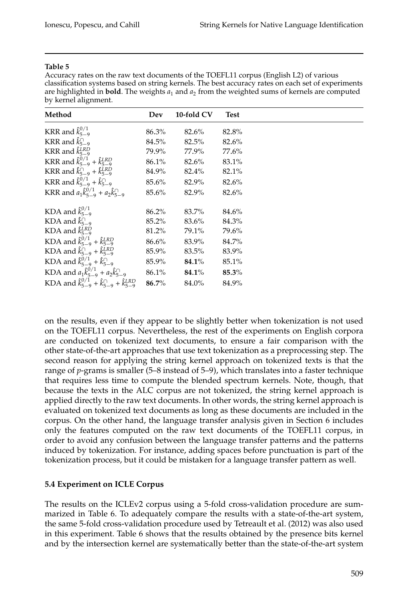#### **Table 5**

Accuracy rates on the raw text documents of the TOEFL11 corpus (English L2) of various classification systems based on string kernels. The best accuracy rates on each set of experiments are highlighted in **bold**. The weights  $a_1$  and  $a_2$  from the weighted sums of kernels are computed by kernel alignment.

| Method                                                                      | Dev   | 10-fold CV | Test  |  |
|-----------------------------------------------------------------------------|-------|------------|-------|--|
| KRR and $\hat{k}_{5-9}^{0/1}$                                               | 86.3% | 82.6%      | 82.8% |  |
| KRR and $\hat{k}_{5-9}^{\cap}$                                              | 84.5% | 82.5%      | 82.6% |  |
| KRR and $\hat{k}_{5-9}^{LRD}$                                               | 79.9% | 77.9%      | 77.6% |  |
| KRR and $\hat{k}_{5-9}^{0/1}$ + $\hat{k}_{5-9}^{LRD}$                       | 86.1% | 82.6%      | 83.1% |  |
| KRR and $\hat{k}_{5-9}^{\cap} + \hat{k}_{5-9}^{LRD}$                        | 84.9% | 82.4%      | 82.1% |  |
| KRR and $\hat{k}_{5-9}^{0/1}$ + $\hat{k}_{5-9}^{0}$                         | 85.6% | 82.9%      | 82.6% |  |
| KRR and $a_1 \hat{k}_{5-9}^{0/1} + a_2 \hat{k}_{5-9}^{0}$                   | 85.6% | 82.9%      | 82.6% |  |
| KDA and $\hat{k}_{5-9}^{0/1}$                                               | 86.2% | 83.7%      | 84.6% |  |
| KDA and $\hat{k}_{5-9}^{\cap}$                                              | 85.2% | 83.6%      | 84.3% |  |
| KDA and $\hat{k}_{5-9}^{LRD}$                                               | 81.2% | 79.1%      | 79.6% |  |
| KDA and $\hat{k}_{5-9}^{0/1}$ + $\hat{k}_{5-9}^{LRD}$                       | 86.6% | 83.9%      | 84.7% |  |
| KDA and $\hat{k}_{5-9}^{\cap}$ + $\hat{k}_{5-9}^{LRD}$                      | 85.9% | 83.5%      | 83.9% |  |
| KDA and $\hat{k}_{5-9}^{0/1}$ + $\hat{k}_{5-9}^{0}$                         | 85.9% | 84.1%      | 85.1% |  |
| KDA and $a_1 \hat{k}_{5-9}^{0/1} + a_2 \hat{k}_{5-9}^{\cap}$                | 86.1% | 84.1%      | 85.3% |  |
| KDA and $\hat{k}_{5-9}^{0/1}$ + $\hat{k}_{5-9}^{0}$ + $\hat{k}_{5-9}^{LRD}$ | 86.7% | 84.0%      | 84.9% |  |

on the results, even if they appear to be slightly better when tokenization is not used on the TOEFL11 corpus. Nevertheless, the rest of the experiments on English corpora are conducted on tokenized text documents, to ensure a fair comparison with the other state-of-the-art approaches that use text tokenization as a preprocessing step. The second reason for applying the string kernel approach on tokenized texts is that the range of *p*-grams is smaller (5–8 instead of 5–9), which translates into a faster technique that requires less time to compute the blended spectrum kernels. Note, though, that because the texts in the ALC corpus are not tokenized, the string kernel approach is applied directly to the raw text documents. In other words, the string kernel approach is evaluated on tokenized text documents as long as these documents are included in the corpus. On the other hand, the language transfer analysis given in Section 6 includes only the features computed on the raw text documents of the TOEFL11 corpus, in order to avoid any confusion between the language transfer patterns and the patterns induced by tokenization. For instance, adding spaces before punctuation is part of the tokenization process, but it could be mistaken for a language transfer pattern as well.

# **5.4 Experiment on ICLE Corpus**

The results on the ICLEv2 corpus using a 5-fold cross-validation procedure are summarized in Table 6. To adequately compare the results with a state-of-the-art system, the same 5-fold cross-validation procedure used by Tetreault et al. (2012) was also used in this experiment. Table 6 shows that the results obtained by the presence bits kernel and by the intersection kernel are systematically better than the state-of-the-art system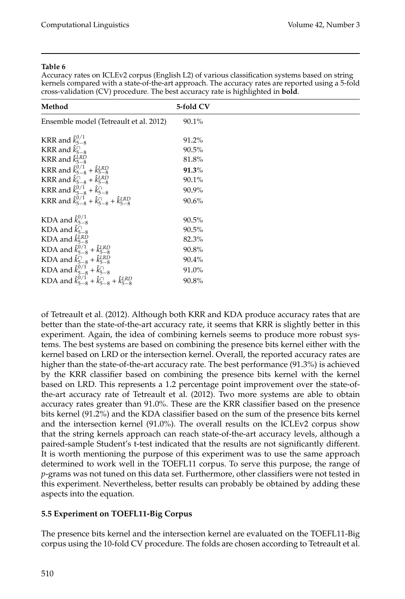# **Table 6**

Accuracy rates on ICLEv2 corpus (English L2) of various classification systems based on string kernels compared with a state-of-the-art approach. The accuracy rates are reported using a 5-fold cross-validation (CV) procedure. The best accuracy rate is highlighted in **bold**.

| Method                                                                      | 5-fold CV |
|-----------------------------------------------------------------------------|-----------|
| Ensemble model (Tetreault et al. 2012)                                      | 90.1%     |
| KRR and $\hat{k}_{5-8}^{0/1}$                                               | 91.2%     |
| KRR and $\hat{k}_{5-8}^{\cap}$                                              | 90.5%     |
| KRR and $\hat{k}_{5-8}^{LRD}$                                               | 81.8%     |
| KRR and $\hat{k}_{5-8}^{0/1}$ + $\hat{k}_{5-8}^{LRD}$                       | $91.3\%$  |
| KRR and $\hat{k}_{5-8}^{\cap} + \hat{k}_{5-8}^{LRD}$                        | 90.1%     |
| KRR and $\hat{k}_{5-8}^{0/1}$ + $\hat{k}_{5-8}^{\cap}$                      | 90.9%     |
| KRR and $\hat{k}_{5-8}^{0/1}$ + $\hat{k}_{5-8}^0$ + $\hat{k}_{5-8}^{LRD}$   | 90.6%     |
| KDA and $\hat{k}_{5-8}^{0/1}$                                               | 90.5%     |
| KDA and $\hat{k}_{5-8}$                                                     | 90.5%     |
| KDA and $\hat{k}_{5-8}^{LRD}$                                               | 82.3%     |
| KDA and $\hat{k}_{5-8}^{0/1}$ + $\hat{k}_{5-8}^{LRD}$                       | 90.8%     |
| KDA and $\hat{k}_{5-8}^{\cap}$ + $\hat{k}_{5-8}^{LRD}$                      | 90.4%     |
| KDA and $\hat{k}_{5-8}^{0/1}$ + $\hat{k}_{5-8}^0$                           | 91.0%     |
| KDA and $\hat{k}_{5-8}^{0/1}$ + $\hat{k}_{5-8}^{0}$ + $\hat{k}_{5-8}^{LRD}$ | 90.8%     |

of Tetreault et al. (2012). Although both KRR and KDA produce accuracy rates that are better than the state-of-the-art accuracy rate, it seems that KRR is slightly better in this experiment. Again, the idea of combining kernels seems to produce more robust systems. The best systems are based on combining the presence bits kernel either with the kernel based on LRD or the intersection kernel. Overall, the reported accuracy rates are higher than the state-of-the-art accuracy rate. The best performance (91.3%) is achieved by the KRR classifier based on combining the presence bits kernel with the kernel based on LRD. This represents a 1.2 percentage point improvement over the state-ofthe-art accuracy rate of Tetreault et al. (2012). Two more systems are able to obtain accuracy rates greater than 91.0%. These are the KRR classifier based on the presence bits kernel (91.2%) and the KDA classifier based on the sum of the presence bits kernel and the intersection kernel (91.0%). The overall results on the ICLEv2 corpus show that the string kernels approach can reach state-of-the-art accuracy levels, although a paired-sample Student's t-test indicated that the results are not significantly different. It is worth mentioning the purpose of this experiment was to use the same approach determined to work well in the TOEFL11 corpus. To serve this purpose, the range of *p*-grams was not tuned on this data set. Furthermore, other classifiers were not tested in this experiment. Nevertheless, better results can probably be obtained by adding these aspects into the equation.

# **5.5 Experiment on TOEFL11-Big Corpus**

The presence bits kernel and the intersection kernel are evaluated on the TOEFL11-Big corpus using the 10-fold CV procedure. The folds are chosen according to Tetreault et al.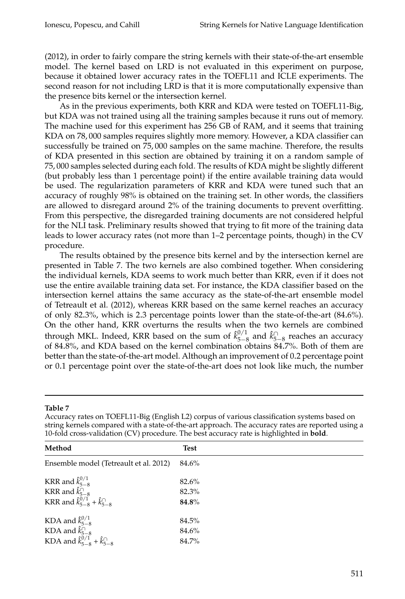(2012), in order to fairly compare the string kernels with their state-of-the-art ensemble model. The kernel based on LRD is not evaluated in this experiment on purpose, because it obtained lower accuracy rates in the TOEFL11 and ICLE experiments. The second reason for not including LRD is that it is more computationally expensive than the presence bits kernel or the intersection kernel.

As in the previous experiments, both KRR and KDA were tested on TOEFL11-Big, but KDA was not trained using all the training samples because it runs out of memory. The machine used for this experiment has 256 GB of RAM, and it seems that training KDA on 78, 000 samples requires slightly more memory. However, a KDA classifier can successfully be trained on 75, 000 samples on the same machine. Therefore, the results of KDA presented in this section are obtained by training it on a random sample of 75, 000 samples selected during each fold. The results of KDA might be slightly different (but probably less than 1 percentage point) if the entire available training data would be used. The regularization parameters of KRR and KDA were tuned such that an accuracy of roughly 98% is obtained on the training set. In other words, the classifiers are allowed to disregard around 2% of the training documents to prevent overfitting. From this perspective, the disregarded training documents are not considered helpful for the NLI task. Preliminary results showed that trying to fit more of the training data leads to lower accuracy rates (not more than 1–2 percentage points, though) in the CV procedure.

The results obtained by the presence bits kernel and by the intersection kernel are presented in Table 7. The two kernels are also combined together. When considering the individual kernels, KDA seems to work much better than KRR, even if it does not use the entire available training data set. For instance, the KDA classifier based on the intersection kernel attains the same accuracy as the state-of-the-art ensemble model of Tetreault et al. (2012), whereas KRR based on the same kernel reaches an accuracy of only 82.3%, which is 2.3 percentage points lower than the state-of-the-art (84.6%). On the other hand, KRR overturns the results when the two kernels are combined through MKL. Indeed, KRR based on the sum of  $\hat{k}_{5-8}^{0/1}$  $_{5-8}^{0/1}$  and  $\hat{k}_{5-8}^{\cap}$  reaches an accuracy of 84.8%, and KDA based on the kernel combination obtains 84.7%. Both of them are better than the state-of-the-art model. Although an improvement of 0.2 percentage point or 0.1 percentage point over the state-of-the-art does not look like much, the number

#### **Table 7**

Accuracy rates on TOEFL11-Big (English L2) corpus of various classification systems based on string kernels compared with a state-of-the-art approach. The accuracy rates are reported using a 10-fold cross-validation (CV) procedure. The best accuracy rate is highlighted in **bold**.

| Method                                                                                                              | <b>Test</b> |  |  |
|---------------------------------------------------------------------------------------------------------------------|-------------|--|--|
| Ensemble model (Tetreault et al. 2012)                                                                              | 84.6%       |  |  |
| KRR and $\hat{k}_{5-8}^{0/1}$                                                                                       | 82.6%       |  |  |
|                                                                                                                     | 82.3%       |  |  |
| KRR and $\hat{k}_{5-8}^{\cap}$<br>KRR and $\hat{k}_{5-8}^{0/1}$ + $\hat{k}_{5-8}^{\cap}$                            | 84.8%       |  |  |
|                                                                                                                     | 84.5%       |  |  |
|                                                                                                                     | 84.6%       |  |  |
| KDA and $\hat{k}_{5-8}^{0/1}$<br>KDA and $\hat{k}_{5-8}^{-}$<br>KDA and $\hat{k}_{5-8}^{0/1}$ + $\hat{k}_{5-8}^{-}$ | 84.7%       |  |  |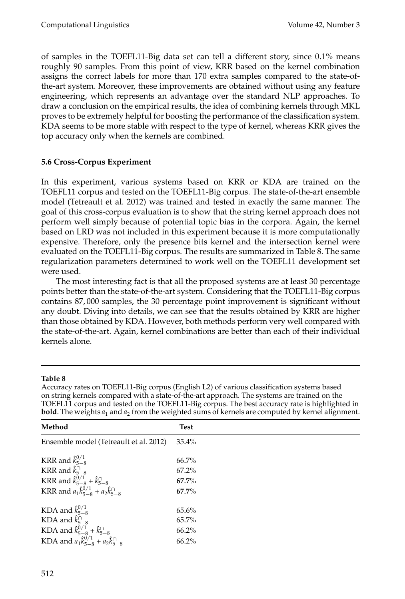of samples in the TOEFL11-Big data set can tell a different story, since 0.1% means roughly 90 samples. From this point of view, KRR based on the kernel combination assigns the correct labels for more than 170 extra samples compared to the state-ofthe-art system. Moreover, these improvements are obtained without using any feature engineering, which represents an advantage over the standard NLP approaches. To draw a conclusion on the empirical results, the idea of combining kernels through MKL proves to be extremely helpful for boosting the performance of the classification system. KDA seems to be more stable with respect to the type of kernel, whereas KRR gives the top accuracy only when the kernels are combined.

# **5.6 Cross-Corpus Experiment**

In this experiment, various systems based on KRR or KDA are trained on the TOEFL11 corpus and tested on the TOEFL11-Big corpus. The state-of-the-art ensemble model (Tetreault et al. 2012) was trained and tested in exactly the same manner. The goal of this cross-corpus evaluation is to show that the string kernel approach does not perform well simply because of potential topic bias in the corpora. Again, the kernel based on LRD was not included in this experiment because it is more computationally expensive. Therefore, only the presence bits kernel and the intersection kernel were evaluated on the TOEFL11-Big corpus. The results are summarized in Table 8. The same regularization parameters determined to work well on the TOEFL11 development set were used.

The most interesting fact is that all the proposed systems are at least 30 percentage points better than the state-of-the-art system. Considering that the TOEFL11-Big corpus contains 87, 000 samples, the 30 percentage point improvement is significant without any doubt. Diving into details, we can see that the results obtained by KRR are higher than those obtained by KDA. However, both methods perform very well compared with the state-of-the-art. Again, kernel combinations are better than each of their individual kernels alone.

# **Table 8**

Accuracy rates on TOEFL11-Big corpus (English L2) of various classification systems based on string kernels compared with a state-of-the-art approach. The systems are trained on the TOEFL11 corpus and tested on the TOEFL11-Big corpus. The best accuracy rate is highlighted in  $\boldsymbol{b}$ old. The weights  $a_1$  and  $a_2$  from the weighted sums of kernels are computed by kernel alignment.

| Method                                                                                                                                                                             | <b>Test</b> |  |
|------------------------------------------------------------------------------------------------------------------------------------------------------------------------------------|-------------|--|
| Ensemble model (Tetreault et al. 2012)                                                                                                                                             | 35.4%       |  |
| KRR and $\hat{k}_{5-8}^{0/1}$                                                                                                                                                      | 66.7%       |  |
| KRR and $\hat{k}_{5-8}^{\cap}$                                                                                                                                                     | $67.2\%$    |  |
| KRR and $\hat{k}_{5-8}^{0/1}$ + $\hat{k}_{5-8}^{0}$                                                                                                                                | $67.7\%$    |  |
| KRR and $a_1 \hat{k}_{5-8}^{0/1} + a_2 \hat{k}_{5-8}^{\cap}$                                                                                                                       | $67.7\%$    |  |
| KDA and $\hat{k}_{5-8}^{0/1}$                                                                                                                                                      | 65.6%       |  |
|                                                                                                                                                                                    | 65.7%       |  |
| KDA and $\hat{k}_{5-8}^{\overline{C}}$<br>KDA and $\hat{k}_{5-8}^{0/1}$ + $\hat{k}_{5-8}^{\overline{C}}$<br>KDA and $a_1 \hat{k}_{5-8}^{0/1}$ + $a_2 \hat{k}_{5-8}^{\overline{C}}$ | 66.2%       |  |
|                                                                                                                                                                                    | 66.2%       |  |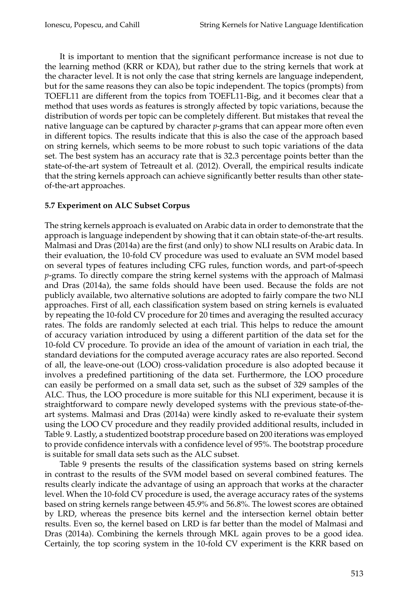It is important to mention that the significant performance increase is not due to the learning method (KRR or KDA), but rather due to the string kernels that work at the character level. It is not only the case that string kernels are language independent, but for the same reasons they can also be topic independent. The topics (prompts) from TOEFL11 are different from the topics from TOEFL11-Big, and it becomes clear that a method that uses words as features is strongly affected by topic variations, because the distribution of words per topic can be completely different. But mistakes that reveal the native language can be captured by character *p*-grams that can appear more often even in different topics. The results indicate that this is also the case of the approach based on string kernels, which seems to be more robust to such topic variations of the data set. The best system has an accuracy rate that is 32.3 percentage points better than the state-of-the-art system of Tetreault et al. (2012). Overall, the empirical results indicate that the string kernels approach can achieve significantly better results than other stateof-the-art approaches.

# **5.7 Experiment on ALC Subset Corpus**

The string kernels approach is evaluated on Arabic data in order to demonstrate that the approach is language independent by showing that it can obtain state-of-the-art results. Malmasi and Dras (2014a) are the first (and only) to show NLI results on Arabic data. In their evaluation, the 10-fold CV procedure was used to evaluate an SVM model based on several types of features including CFG rules, function words, and part-of-speech *p*-grams. To directly compare the string kernel systems with the approach of Malmasi and Dras (2014a), the same folds should have been used. Because the folds are not publicly available, two alternative solutions are adopted to fairly compare the two NLI approaches. First of all, each classification system based on string kernels is evaluated by repeating the 10-fold CV procedure for 20 times and averaging the resulted accuracy rates. The folds are randomly selected at each trial. This helps to reduce the amount of accuracy variation introduced by using a different partition of the data set for the 10-fold CV procedure. To provide an idea of the amount of variation in each trial, the standard deviations for the computed average accuracy rates are also reported. Second of all, the leave-one-out (LOO) cross-validation procedure is also adopted because it involves a predefined partitioning of the data set. Furthermore, the LOO procedure can easily be performed on a small data set, such as the subset of 329 samples of the ALC. Thus, the LOO procedure is more suitable for this NLI experiment, because it is straightforward to compare newly developed systems with the previous state-of-theart systems. Malmasi and Dras (2014a) were kindly asked to re-evaluate their system using the LOO CV procedure and they readily provided additional results, included in Table 9. Lastly, a studentized bootstrap procedure based on 200 iterations was employed to provide confidence intervals with a confidence level of 95%. The bootstrap procedure is suitable for small data sets such as the ALC subset.

Table 9 presents the results of the classification systems based on string kernels in contrast to the results of the SVM model based on several combined features. The results clearly indicate the advantage of using an approach that works at the character level. When the 10-fold CV procedure is used, the average accuracy rates of the systems based on string kernels range between 45.9% and 56.8%. The lowest scores are obtained by LRD, whereas the presence bits kernel and the intersection kernel obtain better results. Even so, the kernel based on LRD is far better than the model of Malmasi and Dras (2014a). Combining the kernels through MKL again proves to be a good idea. Certainly, the top scoring system in the 10-fold CV experiment is the KRR based on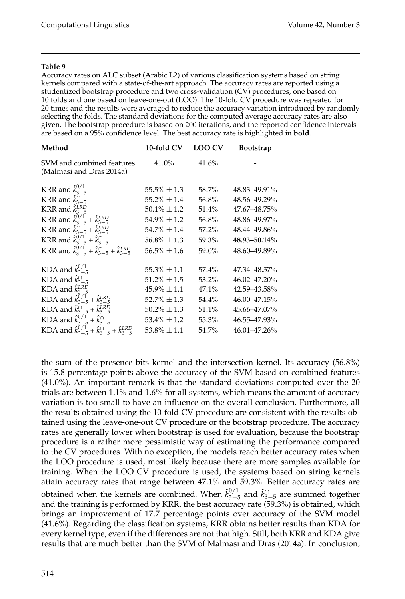#### **Table 9**

Accuracy rates on ALC subset (Arabic L2) of various classification systems based on string kernels compared with a state-of-the-art approach. The accuracy rates are reported using a studentized bootstrap procedure and two cross-validation (CV) procedures, one based on 10 folds and one based on leave-one-out (LOO). The 10-fold CV procedure was repeated for 20 times and the results were averaged to reduce the accuracy variation introduced by randomly selecting the folds. The standard deviations for the computed average accuracy rates are also given. The bootstrap procedure is based on 200 iterations, and the reported confidence intervals are based on a 95% confidence level. The best accuracy rate is highlighted in **bold**.

| Method                                                                      | 10-fold CV       | <b>LOO CV</b> | <b>Bootstrap</b> |  |
|-----------------------------------------------------------------------------|------------------|---------------|------------------|--|
| SVM and combined features<br>(Malmasi and Dras 2014a)                       | 41.0%            | 41.6%         |                  |  |
| KRR and $\hat{k}_{3-5}^{0/1}$                                               | $55.5\% \pm 1.3$ | 58.7%         | 48.83–49.91%     |  |
| KRR and $\hat{k}_{3-5}^{\cap}$                                              | $55.2\% \pm 1.4$ | 56.8%         | 48.56-49.29%     |  |
| KRR and $\hat{k}_{3-5}^{LRD}$                                               | $50.1\% \pm 1.2$ | 51.4%         | 47.67-48.75%     |  |
| KRR and $\hat{k}_{3-5}^{0/1}$ + $\hat{k}_{3-5}^{LRD}$                       | $54.9\% \pm 1.2$ | 56.8%         | 48.86-49.97%     |  |
| KRR and $\hat{k}_{3-5}$ + $\hat{k}_{3-5}^{LRD}$                             | $54.7\% \pm 1.4$ | 57.2%         | 48.44-49.86%     |  |
| KRR and $\hat{k}_{3-5}^{0/1}$ + $\hat{k}_{3-5}^{0}$                         | $56.8\% \pm 1.3$ | 59.3%         | 48.93-50.14%     |  |
| KRR and $\hat{k}_{3-5}^{0/1}$ + $\hat{k}_{3-5}^{0}$ + $\hat{k}_{3-5}^{LRD}$ | $56.5\% \pm 1.6$ | 59.0%         | 48.60–49.89%     |  |
| KDA and $\hat{k}_{3-5}^{0/1}$                                               | $55.3\% \pm 1.1$ | 57.4%         | 47.34-48.57%     |  |
| KDA and $\hat{k}_{3-5}^{\cap}$                                              | $51.2\% \pm 1.5$ | 53.2%         | 46.02-47.20%     |  |
| KDA and $\hat{k}_{3-5}^{LRD}$                                               | $45.9\% \pm 1.1$ | 47.1%         | 42.59-43.58%     |  |
| KDA and $\hat{k}_{3-5}^{0/1}$ + $\hat{k}_{3-5}^{LRD}$                       | $52.7\% \pm 1.3$ | 54.4%         | 46.00–47.15%     |  |
| KDA and $\hat{k}_{3-5}$ + $\hat{k}_{3-5}^{LRD}$                             | $50.2\% \pm 1.3$ | 51.1%         | 45.66-47.07%     |  |
| KDA and $\hat{k}_{3-5}^{0/1}$ + $\hat{k}_{3-5}^{0}$                         | $53.4\% \pm 1.2$ | 55.3%         | 46.55–47.93%     |  |
| KDA and $\hat{k}_{3-5}^{0/1}$ + $\hat{k}_{3-5}^{0}$ + $\hat{k}_{3-5}^{LRD}$ | $53.8\% \pm 1.1$ | 54.7%         | 46.01-47.26%     |  |

the sum of the presence bits kernel and the intersection kernel. Its accuracy (56.8%) is 15.8 percentage points above the accuracy of the SVM based on combined features (41.0%). An important remark is that the standard deviations computed over the 20 trials are between 1.1% and 1.6% for all systems, which means the amount of accuracy variation is too small to have an influence on the overall conclusion. Furthermore, all the results obtained using the 10-fold CV procedure are consistent with the results obtained using the leave-one-out CV procedure or the bootstrap procedure. The accuracy rates are generally lower when bootstrap is used for evaluation, because the bootstrap procedure is a rather more pessimistic way of estimating the performance compared to the CV procedures. With no exception, the models reach better accuracy rates when the LOO procedure is used, most likely because there are more samples available for training. When the LOO CV procedure is used, the systems based on string kernels attain accuracy rates that range between 47.1% and 59.3%. Better accuracy rates are obtained when the kernels are combined. When  $\hat{k}_{3-2}^{0/1}$  $^{0/1}_{3-5}$  and  $\hat{k}_{3-5}^{\cap}$  are summed together and the training is performed by KRR, the best accuracy rate (59.3%) is obtained, which brings an improvement of 17.7 percentage points over accuracy of the SVM model (41.6%). Regarding the classification systems, KRR obtains better results than KDA for every kernel type, even if the differences are not that high. Still, both KRR and KDA give results that are much better than the SVM of Malmasi and Dras (2014a). In conclusion,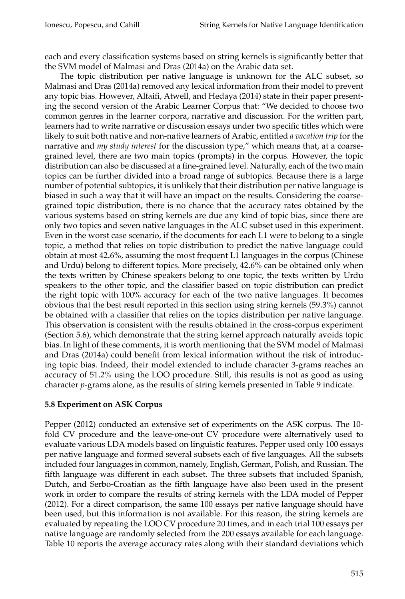each and every classification systems based on string kernels is significantly better that the SVM model of Malmasi and Dras (2014a) on the Arabic data set.

The topic distribution per native language is unknown for the ALC subset, so Malmasi and Dras (2014a) removed any lexical information from their model to prevent any topic bias. However, Alfaifi, Atwell, and Hedaya (2014) state in their paper presenting the second version of the Arabic Learner Corpus that: "We decided to choose two common genres in the learner corpora, narrative and discussion. For the written part, learners had to write narrative or discussion essays under two specific titles which were likely to suit both native and non-native learners of Arabic, entitled *a vacation trip* for the narrative and *my study interest* for the discussion type," which means that, at a coarsegrained level, there are two main topics (prompts) in the corpus. However, the topic distribution can also be discussed at a fine-grained level. Naturally, each of the two main topics can be further divided into a broad range of subtopics. Because there is a large number of potential subtopics, it is unlikely that their distribution per native language is biased in such a way that it will have an impact on the results. Considering the coarsegrained topic distribution, there is no chance that the accuracy rates obtained by the various systems based on string kernels are due any kind of topic bias, since there are only two topics and seven native languages in the ALC subset used in this experiment. Even in the worst case scenario, if the documents for each L1 were to belong to a single topic, a method that relies on topic distribution to predict the native language could obtain at most 42.6%, assuming the most frequent L1 languages in the corpus (Chinese and Urdu) belong to different topics. More precisely, 42.6% can be obtained only when the texts written by Chinese speakers belong to one topic, the texts written by Urdu speakers to the other topic, and the classifier based on topic distribution can predict the right topic with 100% accuracy for each of the two native languages. It becomes obvious that the best result reported in this section using string kernels (59.3%) cannot be obtained with a classifier that relies on the topics distribution per native language. This observation is consistent with the results obtained in the cross-corpus experiment (Section 5.6), which demonstrate that the string kernel approach naturally avoids topic bias. In light of these comments, it is worth mentioning that the SVM model of Malmasi and Dras (2014a) could benefit from lexical information without the risk of introducing topic bias. Indeed, their model extended to include character 3-grams reaches an accuracy of 51.2% using the LOO procedure. Still, this results is not as good as using character *p*-grams alone, as the results of string kernels presented in Table 9 indicate.

# **5.8 Experiment on ASK Corpus**

Pepper (2012) conducted an extensive set of experiments on the ASK corpus. The 10 fold CV procedure and the leave-one-out CV procedure were alternatively used to evaluate various LDA models based on linguistic features. Pepper used only 100 essays per native language and formed several subsets each of five languages. All the subsets included four languages in common, namely, English, German, Polish, and Russian. The fifth language was different in each subset. The three subsets that included Spanish, Dutch, and Serbo-Croatian as the fifth language have also been used in the present work in order to compare the results of string kernels with the LDA model of Pepper (2012). For a direct comparison, the same 100 essays per native language should have been used, but this information is not available. For this reason, the string kernels are evaluated by repeating the LOO CV procedure 20 times, and in each trial 100 essays per native language are randomly selected from the 200 essays available for each language. Table 10 reports the average accuracy rates along with their standard deviations which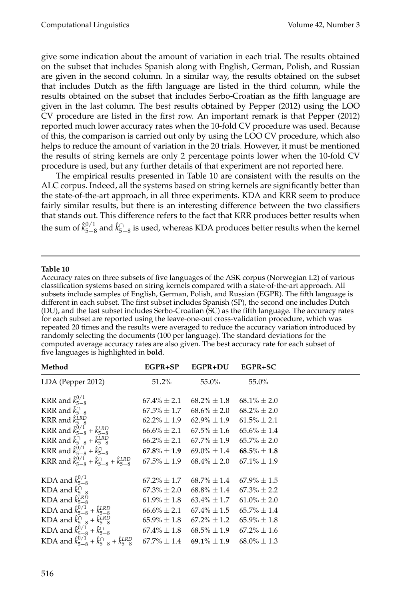give some indication about the amount of variation in each trial. The results obtained on the subset that includes Spanish along with English, German, Polish, and Russian are given in the second column. In a similar way, the results obtained on the subset that includes Dutch as the fifth language are listed in the third column, while the results obtained on the subset that includes Serbo-Croatian as the fifth language are given in the last column. The best results obtained by Pepper (2012) using the LOO CV procedure are listed in the first row. An important remark is that Pepper (2012) reported much lower accuracy rates when the 10-fold CV procedure was used. Because of this, the comparison is carried out only by using the LOO CV procedure, which also helps to reduce the amount of variation in the 20 trials. However, it must be mentioned the results of string kernels are only 2 percentage points lower when the 10-fold CV procedure is used, but any further details of that experiment are not reported here.

The empirical results presented in Table 10 are consistent with the results on the ALC corpus. Indeed, all the systems based on string kernels are significantly better than the state-of-the-art approach, in all three experiments. KDA and KRR seem to produce fairly similar results, but there is an interesting difference between the two classifiers that stands out. This difference refers to the fact that KRR produces better results when the sum of  $\hat k^{0/1}_{5-8}$ <sup>0/1</sup><sub>5−8</sub> and  $\hat{k}_{5-8}^\cap$  is used, whereas KDA produces better results when the kernel

#### **Table 10**

Accuracy rates on three subsets of five languages of the ASK corpus (Norwegian L2) of various classification systems based on string kernels compared with a state-of-the-art approach. All subsets include samples of English, German, Polish, and Russian (EGPR). The fifth language is different in each subset. The first subset includes Spanish (SP), the second one includes Dutch (DU), and the last subset includes Serbo-Croatian (SC) as the fifth language. The accuracy rates for each subset are reported using the leave-one-out cross-validation procedure, which was repeated 20 times and the results were averaged to reduce the accuracy variation introduced by randomly selecting the documents (100 per language). The standard deviations for the computed average accuracy rates are also given. The best accuracy rate for each subset of five languages is highlighted in **bold**.

| Method                                                                      | EGPR+SP          | EGPR+DU          | EGPR+SC          |
|-----------------------------------------------------------------------------|------------------|------------------|------------------|
| LDA (Pepper 2012)                                                           | 51.2%            | 55.0%            | 55.0%            |
| KRR and $\hat{k}_{5-8}^{0/1}$                                               | $67.4\% \pm 2.1$ | $68.2\% \pm 1.8$ | $68.1\% \pm 2.0$ |
| KRR and $\hat{k}_{5-8}^{\cap}$                                              | $67.5\% \pm 1.7$ | $68.6\% \pm 2.0$ | $68.2\% \pm 2.0$ |
| KRR and $\hat{k}_{5-8}^{LRD}$                                               | $62.2\% \pm 1.9$ | $62.9\% \pm 1.9$ | $61.5\% \pm 2.1$ |
| KRR and $\hat{k}_{5-8}^{0/1}$ + $\hat{k}_{5-8}^{LRD}$                       | $66.6\% \pm 2.1$ | $67.5\% \pm 1.6$ | $65.6\% \pm 1.4$ |
| KRR and $\hat{k}_{5-8}^{\cap} + \hat{k}_{5-8}^{LRD}$                        | $66.2\% \pm 2.1$ | $67.7\% \pm 1.9$ | $65.7\% \pm 2.0$ |
| KRR and $\hat{k}_{5-8}^{0/1}$ + $\hat{k}_{5-8}^{0}$                         | $67.8\% \pm 1.9$ | $69.0\% \pm 1.4$ | $68.5\% \pm 1.8$ |
| KRR and $\hat{k}_{5-8}^{0/1}$ + $\hat{k}_{5-8}^{0}$ + $\hat{k}_{5-8}^{LRD}$ | $67.5\% \pm 1.9$ | $68.4\% \pm 2.0$ | $67.1\% \pm 1.9$ |
|                                                                             |                  |                  |                  |
| KDA and $\hat{k}_{5-8}^{0/1}$                                               | $67.2\% \pm 1.7$ | $68.7\% \pm 1.4$ | $67.9\% \pm 1.5$ |
| KDA and $\hat{k}_{5-8}^{\cap}$                                              | $67.3\% \pm 2.0$ | $68.8\% \pm 1.4$ | $67.3\% \pm 2.2$ |
| KDA and $\hat{k}_{5-8}^{LRD}$                                               | $61.9\% \pm 1.8$ | $63.4\% \pm 1.7$ | $61.0\% \pm 2.0$ |
| KDA and $\hat{k}_{5-8}^{0/1}$ + $\hat{k}_{5-8}^{LRD}$                       | $66.6\% \pm 2.1$ | $67.4\% \pm 1.5$ | $65.7\% \pm 1.4$ |
| KDA and $\hat{k}_{5-8}^{\cap} + \hat{k}_{5-8}^{LRD}$                        | $65.9\% \pm 1.8$ | $67.2\% \pm 1.2$ | $65.9\% \pm 1.8$ |
| KDA and $\hat{k}_{5-8}^{0/1}$ + $\hat{k}_{5-8}^{0}$                         | $67.4\% \pm 1.8$ | $68.5\% \pm 1.9$ | $67.2\% \pm 1.6$ |
| KDA and $\hat{k}_{5-8}^{0/1} + \hat{k}_{5-8}^{0} + \hat{k}_{5-8}^{LRD}$     | $67.7\% \pm 1.4$ | 69.1% $\pm$ 1.9  | $68.0\% \pm 1.3$ |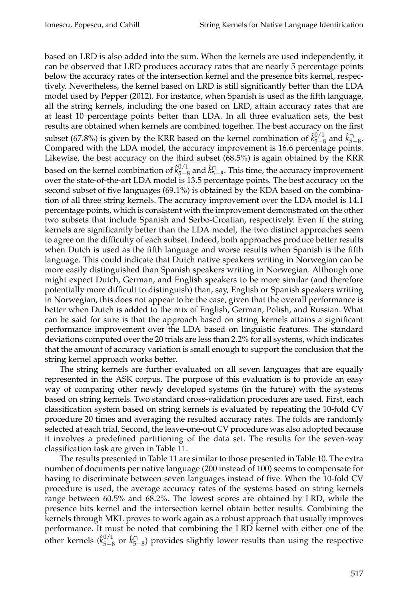based on LRD is also added into the sum. When the kernels are used independently, it can be observed that LRD produces accuracy rates that are nearly 5 percentage points below the accuracy rates of the intersection kernel and the presence bits kernel, respectively. Nevertheless, the kernel based on LRD is still significantly better than the LDA model used by Pepper (2012). For instance, when Spanish is used as the fifth language, all the string kernels, including the one based on LRD, attain accuracy rates that are at least 10 percentage points better than LDA. In all three evaluation sets, the best results are obtained when kernels are combined together. The best accuracy on the first subset (67.8%) is given by the KRR based on the kernel combination of  $\hat{k}_{5-\epsilon}^{0/1}$  $_{5-8}^{0/1}$  and  $\hat{k}_{5-8}^{\cap}$ . Compared with the LDA model, the accuracy improvement is 16.6 percentage points. Likewise, the best accuracy on the third subset (68.5%) is again obtained by the KRR based on the kernel combination of  $\hat k^{0/1}_{5-8}$ <sup>0/1</sup><sub>5−8</sub> and  $\hat{k}_{5-8}^{\cap}$ . This time, the accuracy improvement over the state-of-the-art LDA model is 13.5 percentage points. The best accuracy on the second subset of five languages (69.1%) is obtained by the KDA based on the combination of all three string kernels. The accuracy improvement over the LDA model is 14.1 percentage points, which is consistent with the improvement demonstrated on the other two subsets that include Spanish and Serbo-Croatian, respectively. Even if the string kernels are significantly better than the LDA model, the two distinct approaches seem to agree on the difficulty of each subset. Indeed, both approaches produce better results when Dutch is used as the fifth language and worse results when Spanish is the fifth language. This could indicate that Dutch native speakers writing in Norwegian can be more easily distinguished than Spanish speakers writing in Norwegian. Although one might expect Dutch, German, and English speakers to be more similar (and therefore potentially more difficult to distinguish) than, say, English or Spanish speakers writing in Norwegian, this does not appear to be the case, given that the overall performance is better when Dutch is added to the mix of English, German, Polish, and Russian. What can be said for sure is that the approach based on string kernels attains a significant performance improvement over the LDA based on linguistic features. The standard deviations computed over the 20 trials are less than 2.2% for all systems, which indicates that the amount of accuracy variation is small enough to support the conclusion that the string kernel approach works better.

The string kernels are further evaluated on all seven languages that are equally represented in the ASK corpus. The purpose of this evaluation is to provide an easy way of comparing other newly developed systems (in the future) with the systems based on string kernels. Two standard cross-validation procedures are used. First, each classification system based on string kernels is evaluated by repeating the 10-fold CV procedure 20 times and averaging the resulted accuracy rates. The folds are randomly selected at each trial. Second, the leave-one-out CV procedure was also adopted because it involves a predefined partitioning of the data set. The results for the seven-way classification task are given in Table 11.

The results presented in Table 11 are similar to those presented in Table 10. The extra number of documents per native language (200 instead of 100) seems to compensate for having to discriminate between seven languages instead of five. When the 10-fold CV procedure is used, the average accuracy rates of the systems based on string kernels range between 60.5% and 68.2%. The lowest scores are obtained by LRD, while the presence bits kernel and the intersection kernel obtain better results. Combining the kernels through MKL proves to work again as a robust approach that usually improves performance. It must be noted that combining the LRD kernel with either one of the other kernels ( $\hat k^{0/1}_{5-8}$  $_{5-8}^{0/1}$  or  $\hat{k}_{5-8}^{\cap}$ ) provides slightly lower results than using the respective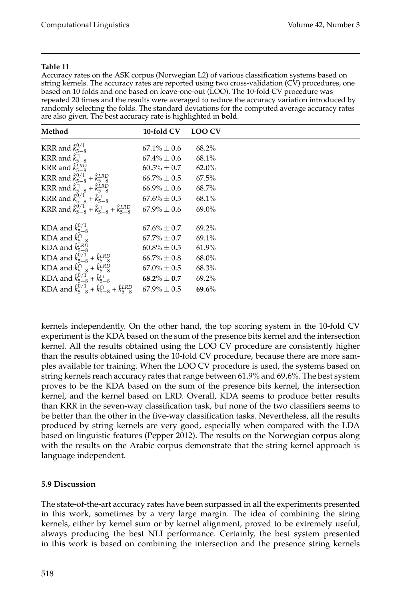#### **Table 11**

Accuracy rates on the ASK corpus (Norwegian L2) of various classification systems based on string kernels. The accuracy rates are reported using two cross-validation (CV) procedures, one based on 10 folds and one based on leave-one-out (LOO). The 10-fold CV procedure was repeated 20 times and the results were averaged to reduce the accuracy variation introduced by randomly selecting the folds. The standard deviations for the computed average accuracy rates are also given. The best accuracy rate is highlighted in **bold**.

| Method                                                                         | 10-fold CV       | <b>LOO CV</b> |  |
|--------------------------------------------------------------------------------|------------------|---------------|--|
| KRR and $\hat{k}_{5-8}^{0/1}$                                                  | $67.1\% \pm 0.6$ | 68.2%         |  |
| KRR and $\hat{k}_{5-8}^{\cap}$                                                 | $67.4\% \pm 0.6$ | 68.1%         |  |
| KRR and $\hat{k}_{5-8}^{LRD}$                                                  | $60.5\% \pm 0.7$ | $62.0\%$      |  |
| KRR and $\hat{k}_{5-8}^{0/1}$ + $\hat{k}_{5-8}^{LRD}$                          | $66.7\% \pm 0.5$ | $67.5\%$      |  |
| KRR and $\hat{k}_{5-8}$ + $\hat{k}_{5-8}^{LRD}$                                | $66.9\% \pm 0.6$ | 68.7%         |  |
| KRR and $\hat{k}_{5-8}^{0/1}$ + $\hat{k}_{5-8}^{0}$                            | $67.6\% \pm 0.5$ | 68.1%         |  |
| KRR and $\hat{k}_{5-8}^{0/1}$ + $\hat{k}_{5-8}^{\cap}$ + $\hat{k}_{5-8}^{LRD}$ | $67.9\% \pm 0.6$ | $69.0\%$      |  |
| KDA and $\hat{k}_{5-8}^{0/1}$                                                  | $67.6\% \pm 0.7$ | 69.2%         |  |
| KDA and $\hat{k}_{5-8}^{\cap}$                                                 | $67.7\% \pm 0.7$ | 69.1%         |  |
| KDA and $\hat{k}_{5-8}^{LRD}$                                                  | $60.8\% \pm 0.5$ | 61.9%         |  |
| KDA and $\hat{k}_{5-8}^{0/1}$ + $\hat{k}_{5-8}^{LRD}$                          | $66.7\% \pm 0.8$ | $68.0\%$      |  |
| KDA and $\hat{k}_{5-8}^{\cap} + \hat{k}_{5-8}^{LRD}$                           | $67.0\% \pm 0.5$ | 68.3%         |  |
| KDA and $\hat{k}_{5-8}^{0/1}$ + $\hat{k}_{5-8}^{0}$                            | $68.2\% \pm 0.7$ | $69.2\%$      |  |
| KDA and $\hat{k}_{5-8}^{0/1}$ + $\hat{k}_{5-8}^{0}$ + $\hat{k}_{5-8}^{LRD}$    | $67.9\% \pm 0.5$ | 69.6%         |  |

kernels independently. On the other hand, the top scoring system in the 10-fold CV experiment is the KDA based on the sum of the presence bits kernel and the intersection kernel. All the results obtained using the LOO CV procedure are consistently higher than the results obtained using the 10-fold CV procedure, because there are more samples available for training. When the LOO CV procedure is used, the systems based on string kernels reach accuracy rates that range between 61.9% and 69.6%. The best system proves to be the KDA based on the sum of the presence bits kernel, the intersection kernel, and the kernel based on LRD. Overall, KDA seems to produce better results than KRR in the seven-way classification task, but none of the two classifiers seems to be better than the other in the five-way classification tasks. Nevertheless, all the results produced by string kernels are very good, especially when compared with the LDA based on linguistic features (Pepper 2012). The results on the Norwegian corpus along with the results on the Arabic corpus demonstrate that the string kernel approach is language independent.

## **5.9 Discussion**

The state-of-the-art accuracy rates have been surpassed in all the experiments presented in this work, sometimes by a very large margin. The idea of combining the string kernels, either by kernel sum or by kernel alignment, proved to be extremely useful, always producing the best NLI performance. Certainly, the best system presented in this work is based on combining the intersection and the presence string kernels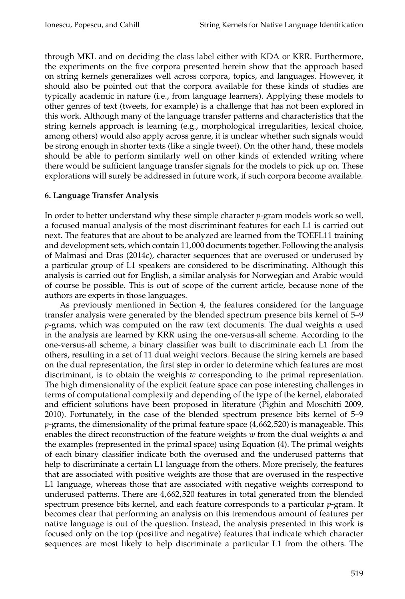through MKL and on deciding the class label either with KDA or KRR. Furthermore, the experiments on the five corpora presented herein show that the approach based on string kernels generalizes well across corpora, topics, and languages. However, it should also be pointed out that the corpora available for these kinds of studies are typically academic in nature (i.e., from language learners). Applying these models to other genres of text (tweets, for example) is a challenge that has not been explored in this work. Although many of the language transfer patterns and characteristics that the string kernels approach is learning (e.g., morphological irregularities, lexical choice, among others) would also apply across genre, it is unclear whether such signals would be strong enough in shorter texts (like a single tweet). On the other hand, these models should be able to perform similarly well on other kinds of extended writing where there would be sufficient language transfer signals for the models to pick up on. These explorations will surely be addressed in future work, if such corpora become available.

#### **6. Language Transfer Analysis**

In order to better understand why these simple character *p*-gram models work so well, a focused manual analysis of the most discriminant features for each L1 is carried out next. The features that are about to be analyzed are learned from the TOEFL11 training and development sets, which contain 11,000 documents together. Following the analysis of Malmasi and Dras (2014c), character sequences that are overused or underused by a particular group of L1 speakers are considered to be discriminating. Although this analysis is carried out for English, a similar analysis for Norwegian and Arabic would of course be possible. This is out of scope of the current article, because none of the authors are experts in those languages.

As previously mentioned in Section 4, the features considered for the language transfer analysis were generated by the blended spectrum presence bits kernel of 5–9 *p*-grams, which was computed on the raw text documents. The dual weights  $\alpha$  used in the analysis are learned by KRR using the one-versus-all scheme. According to the one-versus-all scheme, a binary classifier was built to discriminate each L1 from the others, resulting in a set of 11 dual weight vectors. Because the string kernels are based on the dual representation, the first step in order to determine which features are most discriminant, is to obtain the weights *w* corresponding to the primal representation. The high dimensionality of the explicit feature space can pose interesting challenges in terms of computational complexity and depending of the type of the kernel, elaborated and efficient solutions have been proposed in literature (Pighin and Moschitti 2009, 2010). Fortunately, in the case of the blended spectrum presence bits kernel of 5–9 *p*-grams, the dimensionality of the primal feature space (4,662,520) is manageable. This enables the direct reconstruction of the feature weights  $w$  from the dual weights  $\alpha$  and the examples (represented in the primal space) using Equation (4). The primal weights of each binary classifier indicate both the overused and the underused patterns that help to discriminate a certain L1 language from the others. More precisely, the features that are associated with positive weights are those that are overused in the respective L1 language, whereas those that are associated with negative weights correspond to underused patterns. There are 4,662,520 features in total generated from the blended spectrum presence bits kernel, and each feature corresponds to a particular *p*-gram. It becomes clear that performing an analysis on this tremendous amount of features per native language is out of the question. Instead, the analysis presented in this work is focused only on the top (positive and negative) features that indicate which character sequences are most likely to help discriminate a particular L1 from the others. The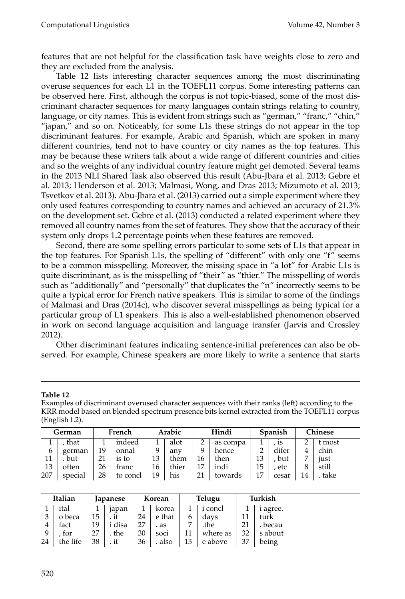features that are not helpful for the classification task have weights close to zero and they are excluded from the analysis.

Table 12 lists interesting character sequences among the most discriminating overuse sequences for each L1 in the TOEFL11 corpus. Some interesting patterns can be observed here. First, although the corpus is not topic-biased, some of the most discriminant character sequences for many languages contain strings relating to country, language, or city names. This is evident from strings such as "german," "franc," "chin," "japan," and so on. Noticeably, for some L1s these strings do not appear in the top discriminant features. For example, Arabic and Spanish, which are spoken in many different countries, tend not to have country or city names as the top features. This may be because these writers talk about a wide range of different countries and cities and so the weights of any individual country feature might get demoted. Several teams in the 2013 NLI Shared Task also observed this result (Abu-Jbara et al. 2013; Gebre et al. 2013; Henderson et al. 2013; Malmasi, Wong, and Dras 2013; Mizumoto et al. 2013; Tsvetkov et al. 2013). Abu-Jbara et al. (2013) carried out a simple experiment where they only used features corresponding to country names and achieved an accuracy of 21.3% on the development set. Gebre et al. (2013) conducted a related experiment where they removed all country names from the set of features. They show that the accuracy of their system only drops 1.2 percentage points when these features are removed.

Second, there are some spelling errors particular to some sets of L1s that appear in the top features. For Spanish L1s, the spelling of "different" with only one "f" seems to be a common misspelling. Moreover, the missing space in "a lot" for Arabic L1s is quite discriminant, as is the misspelling of "their" as "thier." The misspelling of words such as "additionally" and "personally" that duplicates the "n" incorrectly seems to be quite a typical error for French native speakers. This is similar to some of the findings of Malmasi and Dras (2014c), who discover several misspellings as being typical for a particular group of L1 speakers. This is also a well-established phenomenon observed in work on second language acquisition and language transfer (Jarvis and Crossley 2012).

Other discriminant features indicating sentence-initial preferences can also be observed. For example, Chinese speakers are more likely to write a sentence that starts

#### **Table 12**

Examples of discriminant overused character sequences with their ranks (left) according to the KRR model based on blended spectrum presence bits kernel extracted from the TOEFL11 corpus (English L2).

|     | German  |    | French   |    | Arabic | Hindi |          |    | Spanish |    | <b>Chinese</b> |
|-----|---------|----|----------|----|--------|-------|----------|----|---------|----|----------------|
|     | that    |    | indeed   |    | alot   |       | as compa |    | 1S      |    | t most         |
| b   | german  | 19 | onnal    | a  | any    | q     | hence    |    | difer   | 4  | chin           |
|     | but     | 21 | is to    | 13 | them   | 16    | then     | 13 | but     |    | just           |
| 13  | often   | 26 | franc    | 16 | thier  | 17    | indi     | 15 | etc     |    | still          |
| 207 | special | 28 | to concl | 19 | his    | 21    | towards  | 17 | cesar   | 14 | take           |

| Italian |          | apanese |        | Korean |        | Telugu |          |    | Turkish  |
|---------|----------|---------|--------|--------|--------|--------|----------|----|----------|
|         | ital     |         | japan  |        | korea  |        | 1 concl  |    | i agree. |
| 3       | o beca   | 15      | . 11   | 24     | e that | 6      | davs     | 11 | turk     |
|         | fact     | 19      | i disa | 27     | as     |        | .the     | 21 | becau    |
| Q       | for      | 27      | . the  | 30     | soci   | 11     | where as | 32 | s about  |
| 24      | the life | 38      | . it   | 36     | also   | 13     | e above  | 37 | being    |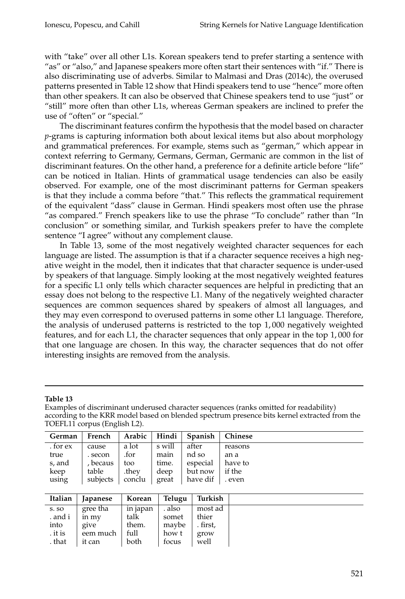with "take" over all other L1s. Korean speakers tend to prefer starting a sentence with "as" or "also," and Japanese speakers more often start their sentences with "if." There is also discriminating use of adverbs. Similar to Malmasi and Dras (2014c), the overused patterns presented in Table 12 show that Hindi speakers tend to use "hence" more often than other speakers. It can also be observed that Chinese speakers tend to use "just" or "still" more often than other L1s, whereas German speakers are inclined to prefer the use of "often" or "special."

The discriminant features confirm the hypothesis that the model based on character *p*-grams is capturing information both about lexical items but also about morphology and grammatical preferences. For example, stems such as "german," which appear in context referring to Germany, Germans, German, Germanic are common in the list of discriminant features. On the other hand, a preference for a definite article before "life" can be noticed in Italian. Hints of grammatical usage tendencies can also be easily observed. For example, one of the most discriminant patterns for German speakers is that they include a comma before "that." This reflects the grammatical requirement of the equivalent "dass" clause in German. Hindi speakers most often use the phrase "as compared." French speakers like to use the phrase "To conclude" rather than "In conclusion" or something similar, and Turkish speakers prefer to have the complete sentence "I agree" without any complement clause.

In Table 13, some of the most negatively weighted character sequences for each language are listed. The assumption is that if a character sequence receives a high negative weight in the model, then it indicates that that character sequence is under-used by speakers of that language. Simply looking at the most negatively weighted features for a specific L1 only tells which character sequences are helpful in predicting that an essay does not belong to the respective L1. Many of the negatively weighted character sequences are common sequences shared by speakers of almost all languages, and they may even correspond to overused patterns in some other L1 language. Therefore, the analysis of underused patterns is restricted to the top 1, 000 negatively weighted features, and for each L1, the character sequences that only appear in the top 1, 000 for that one language are chosen. In this way, the character sequences that do not offer interesting insights are removed from the analysis.

#### **Table 13**

Examples of discriminant underused character sequences (ranks omitted for readability) according to the KRR model based on blended spectrum presence bits kernel extracted from the TOEFL11 corpus (English L2).

| German   | French   | Arabic   | Hindi  |          | <b>Spanish</b> | Chinese |
|----------|----------|----------|--------|----------|----------------|---------|
| . for ex | cause    | a lot    | s will |          | after          | reasons |
| true     | . secon  | .for     | main   | nd so    |                | an a    |
| s, and   | , becaus | too      | time.  | especial |                | have to |
| keep     | table    | .they    | deep   |          | but now        | if the  |
| using    | subjects | conclu   | great  |          | have dif       | . even  |
|          |          |          |        |          |                |         |
|          |          |          |        |          |                |         |
| Italian  | Japanese | Korean   | Telugu |          | Turkish        |         |
| S. SO    | gree tha | in japan | . also |          | most ad        |         |
| . and i  | in my    | talk     | somet  |          | thier          |         |
| into     | give     | them.    | maybe  |          | . first,       |         |
| . it is  | eem much | full     | how t  |          | grow           |         |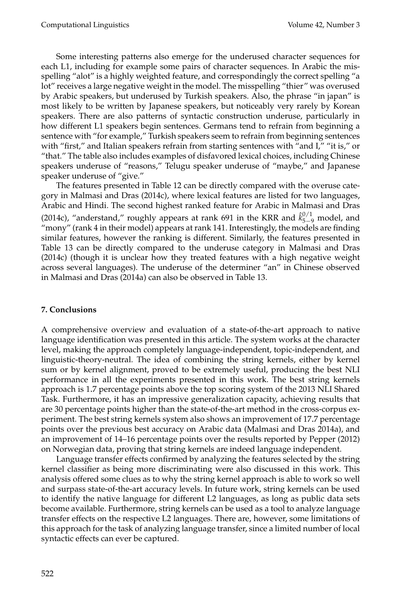Some interesting patterns also emerge for the underused character sequences for each L1, including for example some pairs of character sequences. In Arabic the misspelling "alot" is a highly weighted feature, and correspondingly the correct spelling "a lot" receives a large negative weight in the model. The misspelling "thier" was overused by Arabic speakers, but underused by Turkish speakers. Also, the phrase "in japan" is most likely to be written by Japanese speakers, but noticeably very rarely by Korean speakers. There are also patterns of syntactic construction underuse, particularly in how different L1 speakers begin sentences. Germans tend to refrain from beginning a sentence with "for example," Turkish speakers seem to refrain from beginning sentences with "first," and Italian speakers refrain from starting sentences with "and I," "it is," or "that." The table also includes examples of disfavored lexical choices, including Chinese speakers underuse of "reasons," Telugu speaker underuse of "maybe," and Japanese speaker underuse of "give."

The features presented in Table 12 can be directly compared with the overuse category in Malmasi and Dras (2014c), where lexical features are listed for two languages, Arabic and Hindi. The second highest ranked feature for Arabic in Malmasi and Dras (2014c), "anderstand," roughly appears at rank 691 in the KRR and  $\hat{k}_{5-9}^{0/1}$  model, and "mony" (rank 4 in their model) appears at rank 141. Interestingly, the models are finding similar features, however the ranking is different. Similarly, the features presented in Table 13 can be directly compared to the underuse category in Malmasi and Dras (2014c) (though it is unclear how they treated features with a high negative weight across several languages). The underuse of the determiner "an" in Chinese observed in Malmasi and Dras (2014a) can also be observed in Table 13.

# **7. Conclusions**

A comprehensive overview and evaluation of a state-of-the-art approach to native language identification was presented in this article. The system works at the character level, making the approach completely language-independent, topic-independent, and linguistic-theory-neutral. The idea of combining the string kernels, either by kernel sum or by kernel alignment, proved to be extremely useful, producing the best NLI performance in all the experiments presented in this work. The best string kernels approach is 1.7 percentage points above the top scoring system of the 2013 NLI Shared Task. Furthermore, it has an impressive generalization capacity, achieving results that are 30 percentage points higher than the state-of-the-art method in the cross-corpus experiment. The best string kernels system also shows an improvement of 17.7 percentage points over the previous best accuracy on Arabic data (Malmasi and Dras 2014a), and an improvement of 14–16 percentage points over the results reported by Pepper (2012) on Norwegian data, proving that string kernels are indeed language independent.

Language transfer effects confirmed by analyzing the features selected by the string kernel classifier as being more discriminating were also discussed in this work. This analysis offered some clues as to why the string kernel approach is able to work so well and surpass state-of-the-art accuracy levels. In future work, string kernels can be used to identify the native language for different L2 languages, as long as public data sets become available. Furthermore, string kernels can be used as a tool to analyze language transfer effects on the respective L2 languages. There are, however, some limitations of this approach for the task of analyzing language transfer, since a limited number of local syntactic effects can ever be captured.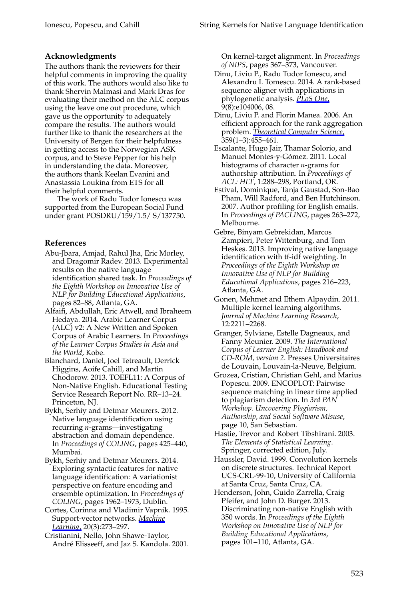# **Acknowledgments**

The authors thank the reviewers for their helpful comments in improving the quality of this work. The authors would also like to thank Shervin Malmasi and Mark Dras for evaluating their method on the ALC corpus using the leave one out procedure, which gave us the opportunity to adequately compare the results. The authors would further like to thank the researchers at the University of Bergen for their helpfulness in getting access to the Norwegian ASK corpus, and to Steve Pepper for his help in understanding the data. Moreover, the authors thank Keelan Evanini and Anastassia Loukina from ETS for all their helpful comments.

The work of Radu Tudor Ionescu was supported from the European Social Fund under grant POSDRU/159/1.5/ S/137750.

## **References**

- Abu-Jbara, Amjad, Rahul Jha, Eric Morley, and Dragomir Radev. 2013. Experimental results on the native language identification shared task. In *Proceedings of the Eighth Workshop on Innovative Use of NLP for Building Educational Applications*, pages 82–88, Atlanta, GA.
- Alfaifi, Abdullah, Eric Atwell, and Ibraheem Hedaya. 2014. Arabic Learner Corpus (ALC) v2: A New Written and Spoken Corpus of Arabic Learners. In *Proceedings of the Learner Corpus Studies in Asia and the World*, Kobe.
- Blanchard, Daniel, Joel Tetreault, Derrick Higgins, Aoife Cahill, and Martin Chodorow. 2013. TOEFL11: A Corpus of Non-Native English. Educational Testing Service Research Report No. RR–13–24. Princeton, NJ.
- Bykh, Serhiy and Detmar Meurers. 2012. Native language identification using recurring *n*-grams—investigating abstraction and domain dependence. In *Proceedings of COLING*, pages 425–440, Mumbai.
- Bykh, Serhiy and Detmar Meurers. 2014. Exploring syntactic features for native language identification: A variationist perspective on feature encoding and ensemble optimization. In *Proceedings of COLING*, pages 1962–1973, Dublin.
- Cortes, Corinna and Vladimir Vapnik. 1995. Support-vector networks. *[Machine](http://www.mitpressjournals.org/action/showLinks?crossref=10.1007%2FBF00994018) [Learning](http://www.mitpressjournals.org/action/showLinks?crossref=10.1007%2FBF00994018)*, 20(3):273–297.
- Cristianini, Nello, John Shawe-Taylor, André Elisseeff, and Jaz S. Kandola. 2001.

On kernel-target alignment. In *Proceedings of NIPS*, pages 367–373, Vancouver.

- Dinu, Liviu P., Radu Tudor Ionescu, and Alexandru I. Tomescu. 2014. A rank-based sequence aligner with applications in phylogenetic analysis. *[PLoS One](http://www.mitpressjournals.org/action/showLinks?crossref=10.1371%2Fjournal.pone.0104006)*, 9(8):e104006, 08.
- Dinu, Liviu P. and Florin Manea. 2006. An efficient approach for the rank aggregation problem. *[Theoretical Computer Science](http://www.mitpressjournals.org/action/showLinks?crossref=10.1016%2Fj.tcs.2006.05.024)*, 359(1–3):455–461.
- Escalante, Hugo Jair, Thamar Solorio, and Manuel Montes-y-Gómez. 2011. Local histograms of character *n*-grams for authorship attribution. In *Proceedings of ACL: HLT*, 1:288–298, Portland, OR.
- Estival, Dominique, Tanja Gaustad, Son-Bao Pham, Will Radford, and Ben Hutchinson. 2007. Author profiling for English emails. In *Proceedings of PACLING*, pages 263–272, Melbourne.
- Gebre, Binyam Gebrekidan, Marcos Zampieri, Peter Wittenburg, and Tom Heskes. 2013. Improving native language identification with tf-idf weighting. In *Proceedings of the Eighth Workshop on Innovative Use of NLP for Building Educational Applications*, pages 216–223, Atlanta, GA.
- Gonen, Mehmet and Ethem Alpaydin. 2011. Multiple kernel learning algorithms. *Journal of Machine Learning Research*, 12:2211–2268.
- Granger, Sylviane, Estelle Dagneaux, and Fanny Meunier. 2009. *The International Corpus of Learner English: Handbook and CD-ROM, version 2*. Presses Universitaires de Louvain, Louvain-la-Neuve, Belgium.
- Grozea, Cristian, Christian Gehl, and Marius Popescu. 2009. ENCOPLOT: Pairwise sequence matching in linear time applied to plagiarism detection. In *3rd PAN Workshop. Uncovering Plagiarism, Authorship, and Social Software Misuse*, page 10, San Sebastian.
- Hastie, Trevor and Robert Tibshirani. 2003. *The Elements of Statistical Learning*. Springer, corrected edition, July.
- Haussler, David. 1999. Convolution kernels on discrete structures. Technical Report UCS-CRL-99-10, University of California at Santa Cruz, Santa Cruz, CA.
- Henderson, John, Guido Zarrella, Craig Pfeifer, and John D. Burger. 2013. Discriminating non-native English with 350 words. In *Proceedings of the Eighth Workshop on Innovative Use of NLP for Building Educational Applications*, pages 101–110, Atlanta, GA.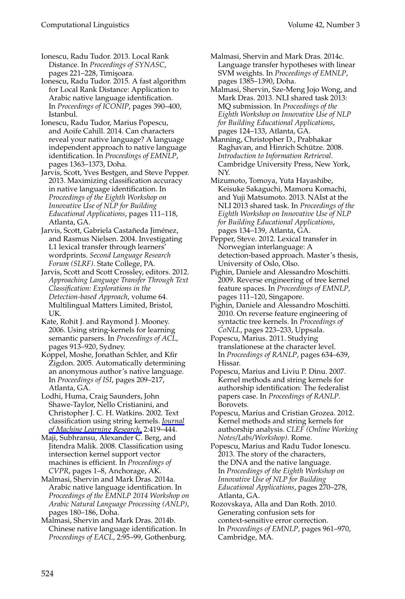Ionescu, Radu Tudor. 2013. Local Rank Distance. In *Proceedings of SYNASC*, pages 221-228, Timişoara.

Ionescu, Radu Tudor. 2015. A fast algorithm for Local Rank Distance: Application to Arabic native language identification. In *Proceedings of ICONIP*, pages 390–400, Istanbul.

Ionescu, Radu Tudor, Marius Popescu, and Aoife Cahill. 2014. Can characters reveal your native language? A language independent approach to native language identification. In *Proceedings of EMNLP*, pages 1363–1373, Doha.

Jarvis, Scott, Yves Bestgen, and Steve Pepper. 2013. Maximizing classification accuracy in native language identification. In *Proceedings of the Eighth Workshop on Innovative Use of NLP for Building Educational Applications*, pages 111–118, Atlanta, GA.

Jarvis, Scott, Gabriela Castañeda Jiménez, and Rasmus Nielsen. 2004. Investigating L1 lexical transfer through learners' wordprints. *Second Language Research Forum (SLRF)*. State College, PA.

Jarvis, Scott and Scott Crossley, editors. 2012. *Approaching Language Transfer Through Text Classification: Explorations in the Detection-based Approach*, volume 64. Multilingual Matters Limited, Bristol, UK.

Kate, Rohit J. and Raymond J. Mooney. 2006. Using string-kernels for learning semantic parsers. In *Proceedings of ACL*, pages 913–920, Sydney.

Koppel, Moshe, Jonathan Schler, and Kfir Zigdon. 2005. Automatically determining an anonymous author's native language. In *Proceedings of ISI*, pages 209–217, Atlanta, GA.

Lodhi, Huma, Craig Saunders, John Shawe-Taylor, Nello Cristianini, and Christopher J. C. H. Watkins. 2002. Text classification using string kernels. *[Journal](http://www.mitpressjournals.org/action/showLinks?crossref=10.1162%2F153244302760200687) [of Machine Learning Research](http://www.mitpressjournals.org/action/showLinks?crossref=10.1162%2F153244302760200687)*, 2:419–444.

Maji, Subhransu, Alexander C. Berg, and Jitendra Malik. 2008. Classification using intersection kernel support vector machines is efficient. In *Proceedings of CVPR*, pages 1–8, Anchorage, AK.

Malmasi, Shervin and Mark Dras. 2014a. Arabic native language identification. In *Proceedings of the EMNLP 2014 Workshop on Arabic Natural Language Processing (ANLP)*, pages 180–186, Doha.

Malmasi, Shervin and Mark Dras. 2014b. Chinese native language identification. In *Proceedings of EACL*, 2:95–99, Gothenburg. Malmasi, Shervin and Mark Dras. 2014c. Language transfer hypotheses with linear SVM weights. In *Proceedings of EMNLP*, pages 1385–1390, Doha.

Malmasi, Shervin, Sze-Meng Jojo Wong, and Mark Dras. 2013. NLI shared task 2013: MQ submission. In *Proceedings of the Eighth Workshop on Innovative Use of NLP for Building Educational Applications*, pages 124–133, Atlanta, GA.

Manning, Christopher D., Prabhakar Raghavan, and Hinrich Schütze. 2008. *Introduction to Information Retrieval*. Cambridge University Press, New York, NY.

Mizumoto, Tomoya, Yuta Hayashibe, Keisuke Sakaguchi, Mamoru Komachi, and Yuji Matsumoto. 2013. NAIst at the NLI 2013 shared task. In *Proceedings of the Eighth Workshop on Innovative Use of NLP for Building Educational Applications*, pages 134–139, Atlanta, GA.

Pepper, Steve. 2012. Lexical transfer in Norwegian interlanguage: A detection-based approach. Master's thesis, University of Oslo, Olso.

Pighin, Daniele and Alessandro Moschitti. 2009. Reverse engineering of tree kernel feature spaces. In *Proceedings of EMNLP*, pages 111–120, Singapore.

Pighin, Daniele and Alessandro Moschitti. 2010. On reverse feature engineering of syntactic tree kernels. In *Proceedings of CoNLL*, pages 223–233, Uppsala.

Popescu, Marius. 2011. Studying translationese at the character level. In *Proceedings of RANLP*, pages 634–639, Hissar.

Popescu, Marius and Liviu P. Dinu. 2007. Kernel methods and string kernels for authorship identification: The federalist papers case. In *Proceedings of RANLP*. Borovets.

Popescu, Marius and Cristian Grozea. 2012. Kernel methods and string kernels for authorship analysis. *CLEF (Online Working Notes/Labs/Workshop)*. Rome.

Popescu, Marius and Radu Tudor Ionescu. 2013. The story of the characters, the DNA and the native language. In *Proceedings of the Eighth Workshop on Innovative Use of NLP for Building Educational Applications*, pages 270–278, Atlanta, GA.

Rozovskaya, Alla and Dan Roth. 2010. Generating confusion sets for context-sensitive error correction. In *Proceedings of EMNLP*, pages 961–970, Cambridge, MA.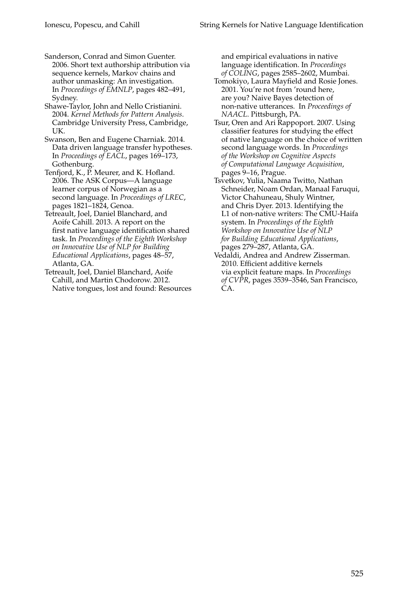- Sanderson, Conrad and Simon Guenter. 2006. Short text authorship attribution via sequence kernels, Markov chains and author unmasking: An investigation. In *Proceedings of EMNLP*, pages 482–491, Sydney.
- Shawe-Taylor, John and Nello Cristianini. 2004. *Kernel Methods for Pattern Analysis*. Cambridge University Press, Cambridge, UK.
- Swanson, Ben and Eugene Charniak. 2014. Data driven language transfer hypotheses. In *Proceedings of EACL*, pages 169–173, Gothenburg.
- Tenfjord, K., P. Meurer, and K. Hofland. 2006. The ASK Corpus—A language learner corpus of Norwegian as a second language. In *Proceedings of LREC*, pages 1821–1824, Genoa.
- Tetreault, Joel, Daniel Blanchard, and Aoife Cahill. 2013. A report on the first native language identification shared task. In *Proceedings of the Eighth Workshop on Innovative Use of NLP for Building Educational Applications*, pages 48–57, Atlanta, GA.
- Tetreault, Joel, Daniel Blanchard, Aoife Cahill, and Martin Chodorow. 2012. Native tongues, lost and found: Resources

and empirical evaluations in native language identification. In *Proceedings of COLING*, pages 2585–2602, Mumbai.

- Tomokiyo, Laura Mayfield and Rosie Jones. 2001. You're not from 'round here, are you? Naive Bayes detection of non-native utterances. In *Proceedings of NAACL*. Pittsburgh, PA.
- Tsur, Oren and Ari Rappoport. 2007. Using classifier features for studying the effect of native language on the choice of written second language words. In *Proceedings of the Workshop on Cognitive Aspects of Computational Language Acquisition*, pages 9–16, Prague.
- Tsvetkov, Yulia, Naama Twitto, Nathan Schneider, Noam Ordan, Manaal Faruqui, Victor Chahuneau, Shuly Wintner, and Chris Dyer. 2013. Identifying the L1 of non-native writers: The CMU-Haifa system. In *Proceedings of the Eighth Workshop on Innovative Use of NLP for Building Educational Applications*, pages 279–287, Atlanta, GA.
- Vedaldi, Andrea and Andrew Zisserman. 2010. Efficient additive kernels via explicit feature maps. In *Proceedings of CVPR*, pages 3539–3546, San Francisco, CA.